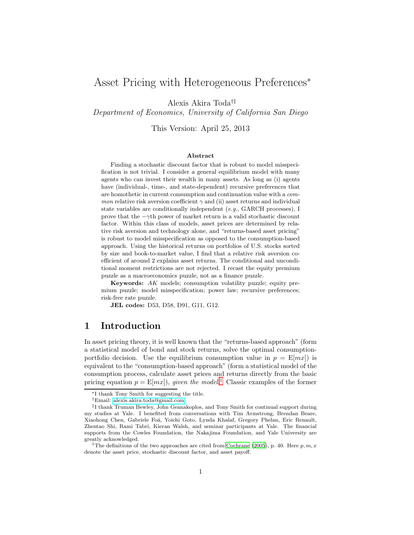# Asset Pricing with Heterogeneous Preferences<sup>∗</sup>

Alexis Akira Toda†‡

Department of Economics, University of California San Diego

This Version: April 25, 2013

#### Abstract

Finding a stochastic discount factor that is robust to model misspecification is not trivial. I consider a general equilibrium model with many agents who can invest their wealth in many assets. As long as (i) agents have (individual-, time-, and state-dependent) recursive preferences that are homothetic in current consumption and continuation value with a com*mon* relative risk aversion coefficient  $\gamma$  and (ii) asset returns and individual state variables are conditionally independent (e.g., GARCH processes), I prove that the  $-\gamma$ th power of market return is a valid stochastic discount factor. Within this class of models, asset prices are determined by relative risk aversion and technology alone, and "returns-based asset pricing" is robust to model misspecification as opposed to the consumption-based approach. Using the historical returns on portfolios of U.S. stocks sorted by size and book-to-market value, I find that a relative risk aversion coefficient of around 2 explains asset returns. The conditional and unconditional moment restrictions are not rejected. I recast the equity premium puzzle as a macroeconomics puzzle, not as a finance puzzle.

Keywords: AK models; consumption volatility puzzle; equity premium puzzle; model misspecification; power law; recursive preferences; risk-free rate puzzle.

JEL codes: D53, D58, D91, G11, G12.

## 1 Introduction

In asset pricing theory, it is well known that the "returns-based approach" (form a statistical model of bond and stock returns, solve the optimal consumptionportfolio decision. Use the equilibrium consumption value in  $p = E[mx]$  is equivalent to the "consumption-based approach" (form a statistical model of the consumption process, calculate asset prices and returns directly from the basic pricing equation  $p = E[mx]$ , given the model.<sup>[1](#page-0-0)</sup> Classic examples of the former

<sup>∗</sup>I thank Tony Smith for suggesting the title.

<sup>†</sup>Email: [alexis.akira.toda@gmail.com](mailto:alexis.akira.toda@gmail.com)

<sup>‡</sup> I thank Truman Bewley, John Geanakoplos, and Tony Smith for continual support during my studies at Yale. I benefited from conversations with Tim Armstrong, Brendan Beare, Xiaohong Chen, Gabriele Foá, Yoichi Goto, Lynda Khalaf, Gregory Phelan, Eric Renault, Zhentao Shi, Rami Tabri, Kieran Walsh, and seminar participants at Yale. The financial supports from the Cowles Foundation, the Nakajima Foundation, and Yale University are greatly acknowledged.

<span id="page-0-0"></span><sup>&</sup>lt;sup>1</sup>The definitions of the two approaches are cited from [Cochrane](#page-26-0) [\(2005](#page-26-0)), p. 40. Here  $p, m, x$ denote the asset price, stochastic discount factor, and asset payoff.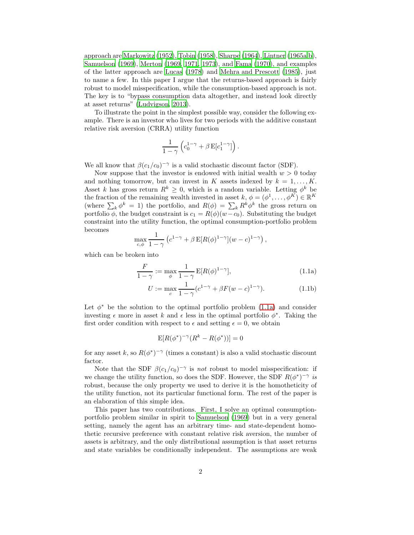approach are [Markowitz \(1952\)](#page-28-0), [Tobin \(1958\)](#page-29-0), [Sharpe \(1964](#page-29-1)), [Lintner \(1965a](#page-27-0)[,b\)](#page-27-1), [Samuelson \(1969\)](#page-29-2), [Merton \(1969,](#page-28-1) [1971,](#page-28-2) [1973\)](#page-28-3), and [Fama \(1970\)](#page-26-1), and examples of the latter approach are [Lucas \(1978\)](#page-27-2) and [Mehra and Prescott](#page-28-4) [\(1985\)](#page-28-4), just to name a few. In this paper I argue that the returns-based approach is fairly robust to model misspecification, while the consumption-based approach is not. The key is to "bypass consumption data altogether, and instead look directly at asset returns" [\(Ludvigson, 2013\)](#page-28-5).

To illustrate the point in the simplest possible way, consider the following example. There is an investor who lives for two periods with the additive constant relative risk aversion (CRRA) utility function

$$
\frac{1}{1-\gamma} \left( c_0^{1-\gamma} + \beta \operatorname{E}[c_1^{1-\gamma}] \right).
$$

We all know that  $\beta(c_1/c_0)^{-\gamma}$  is a valid stochastic discount factor (SDF).

Now suppose that the investor is endowed with initial wealth  $w > 0$  today and nothing tomorrow, but can invest in K assets indexed by  $k = 1, \ldots, K$ . Asset k has gross return  $R^k \geq 0$ , which is a random variable. Letting  $\phi^k$  be the fraction of the remaining wealth invested in asset  $k, \phi = (\phi^1, \dots, \phi^K) \in \mathbb{R}^K$ (where  $\sum_k \phi^k = 1$ ) the portfolio, and  $R(\phi) = \sum_k R^k \phi^k$  the gross return on portfolio  $\phi$ , the budget constraint is  $c_1 = R(\phi)(w-c_0)$ . Substituting the budget constraint into the utility function, the optimal consumption-portfolio problem becomes

$$
\max_{c,\phi} \frac{1}{1-\gamma} \left( c^{1-\gamma} + \beta \mathbf{E}[R(\phi)^{1-\gamma}](w-c)^{1-\gamma} \right),\,
$$

which can be broken into

<span id="page-1-1"></span>
$$
\frac{F}{1-\gamma} := \max_{\phi} \frac{1}{1-\gamma} \mathbf{E}[R(\phi)^{1-\gamma}],\tag{1.1a}
$$

<span id="page-1-0"></span>
$$
U := \max_{c} \frac{1}{1 - \gamma} (c^{1 - \gamma} + \beta F(w - c)^{1 - \gamma}).
$$
 (1.1b)

Let  $\phi^*$  be the solution to the optimal portfolio problem [\(1.1a\)](#page-1-0) and consider investing  $\epsilon$  more in asset k and  $\epsilon$  less in the optimal portfolio  $\phi^*$ . Taking the first order condition with respect to  $\epsilon$  and setting  $\epsilon = 0$ , we obtain

$$
\mathbb{E}[R(\phi^*)^{-\gamma}(R^k - R(\phi^*))] = 0
$$

for any asset k, so  $R(\phi^*)^{-\gamma}$  (times a constant) is also a valid stochastic discount factor.

Note that the SDF  $\beta(c_1/c_0)^{-\gamma}$  is not robust to model misspecification: if we change the utility function, so does the SDF. However, the SDF  $R(\phi^*)^{-\gamma}$  is robust, because the only property we used to derive it is the homotheticity of the utility function, not its particular functional form. The rest of the paper is an elaboration of this simple idea.

This paper has two contributions. First, I solve an optimal consumptionportfolio problem similar in spirit to [Samuelson \(1969\)](#page-29-2) but in a very general setting, namely the agent has an arbitrary time- and state-dependent homothetic recursive preference with constant relative risk aversion, the number of assets is arbitrary, and the only distributional assumption is that asset returns and state variables be conditionally independent. The assumptions are weak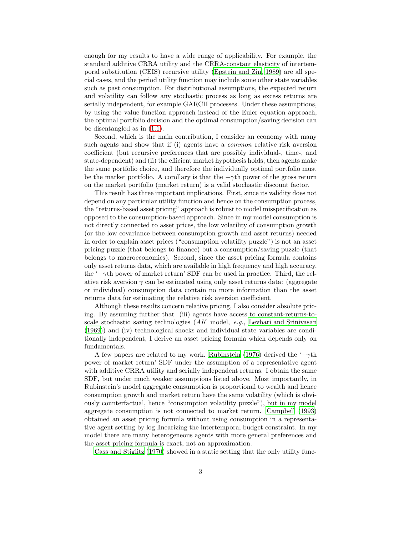enough for my results to have a wide range of applicability. For example, the standard additive CRRA utility and the CRRA-constant elasticity of intertemporal substitution (CEIS) recursive utility [\(Epstein and Zin, 1989\)](#page-26-2) are all special cases, and the period utility function may include some other state variables such as past consumption. For distributional assumptions, the expected return and volatility can follow any stochastic process as long as excess returns are serially independent, for example GARCH processes. Under these assumptions, by using the value function approach instead of the Euler equation approach, the optimal portfolio decision and the optimal consumption/saving decision can be disentangled as in [\(1.1\)](#page-1-1).

Second, which is the main contribution, I consider an economy with many such agents and show that if (i) agents have a *common* relative risk aversion coefficient (but recursive preferences that are possibly individual-, time-, and state-dependent) and (ii) the efficient market hypothesis holds, then agents make the same portfolio choice, and therefore the individually optimal portfolio must be the market portfolio. A corollary is that the  $-\gamma$ th power of the gross return on the market portfolio (market return) is a valid stochastic discount factor.

This result has three important implications. First, since its validity does not depend on any particular utility function and hence on the consumption process, the "returns-based asset pricing" approach is robust to model misspecification as opposed to the consumption-based approach. Since in my model consumption is not directly connected to asset prices, the low volatility of consumption growth (or the low covariance between consumption growth and asset returns) needed in order to explain asset prices ("consumption volatility puzzle") is not an asset pricing puzzle (that belongs to finance) but a consumption/saving puzzle (that belongs to macroeconomics). Second, since the asset pricing formula contains only asset returns data, which are available in high frequency and high accuracy, the '−γth power of market return' SDF can be used in practice. Third, the relative risk aversion  $\gamma$  can be estimated using only asset returns data: (aggregate or individual) consumption data contain no more information than the asset returns data for estimating the relative risk aversion coefficient.

Although these results concern relative pricing, I also consider absolute pricing. By assuming further that (iii) agents have access to constant-returns-toscale stochastic saving technologies  $(AK \text{ model}, e.g., \text{Levhari} \text{ and Srinivasan})$ [\(1969\)](#page-27-3)) and (iv) technological shocks and individual state variables are conditionally independent, I derive an asset pricing formula which depends only on fundamentals.

A few papers are related to my work. [Rubinstein \(1976](#page-29-3)) derived the  $-\gamma$ th power of market return' SDF under the assumption of a representative agent with additive CRRA utility and serially independent returns. I obtain the same SDF, but under much weaker assumptions listed above. Most importantly, in Rubinstein's model aggregate consumption is proportional to wealth and hence consumption growth and market return have the same volatility (which is obviously counterfactual, hence "consumption volatility puzzle"), but in my model aggregate consumption is not connected to market return. [Campbell \(1993\)](#page-26-3) obtained an asset pricing formula without using consumption in a representative agent setting by log linearizing the intertemporal budget constraint. In my model there are many heterogeneous agents with more general preferences and the asset pricing formula is exact, not an approximation.

[Cass and Stiglitz \(1970](#page-26-4)) showed in a static setting that the only utility func-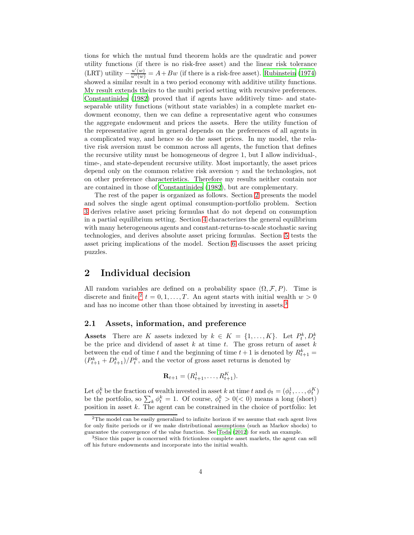tions for which the mutual fund theorem holds are the quadratic and power utility functions (if there is no risk-free asset) and the linear risk tolerance (LRT) utility  $-\frac{u'(w)}{u''(w)} = A + Bw$  (if there is a risk-free asset). [Rubinstein \(1974\)](#page-28-6) showed a similar result in a two period economy with additive utility functions. My result extends theirs to the multi period setting with recursive preferences. [Constantinides \(1982\)](#page-26-5) proved that if agents have additively time- and stateseparable utility functions (without state variables) in a complete market endowment economy, then we can define a representative agent who consumes the aggregate endowment and prices the assets. Here the utility function of the representative agent in general depends on the preferences of all agents in a complicated way, and hence so do the asset prices. In my model, the relative risk aversion must be common across all agents, the function that defines the recursive utility must be homogeneous of degree 1, but I allow individual-, time-, and state-dependent recursive utility. Most importantly, the asset prices depend only on the common relative risk aversion  $\gamma$  and the technologies, not on other preference characteristics. Therefore my results neither contain nor are contained in those of [Constantinides \(1982](#page-26-5)), but are complementary.

The rest of the paper is organized as follows. Section [2](#page-3-0) presents the model and solves the single agent optimal consumption-portfolio problem. Section [3](#page-7-0) derives relative asset pricing formulas that do not depend on consumption in a partial equilibrium setting. Section [4](#page-11-0) characterizes the general equilibrium with many heterogeneous agents and constant-returns-to-scale stochastic saving technologies, and derives absolute asset pricing formulas. Section [5](#page-14-0) tests the asset pricing implications of the model. Section [6](#page-19-0) discusses the asset pricing puzzles.

## <span id="page-3-0"></span>2 Individual decision

All random variables are defined on a probability space  $(\Omega, \mathcal{F}, P)$ . Time is discrete and finite,  $t = 0, 1, ..., T$ . An agent starts with initial wealth  $w > 0$ and has no income other than those obtained by investing in assets.<sup>[3](#page-3-2)</sup>

### 2.1 Assets, information, and preference

**Assets** There are K assets indexed by  $k \in K = \{1, ..., K\}$ . Let  $P_t^k, D_t^k$ be the price and dividend of asset  $k$  at time  $t$ . The gross return of asset  $k$ between the end of time t and the beginning of time  $t+1$  is denoted by  $R_{t+1}^k =$  $\left(P_{t+1}^k + D_{t+1}^k\right)/P_t^k$ , and the vector of gross asset returns is denoted by

$$
\mathbf{R}_{t+1} = (R_{t+1}^1, \dots, R_{t+1}^K).
$$

Let  $\phi_t^k$  be the fraction of wealth invested in asset k at time t and  $\phi_t = (\phi_t^1, \dots, \phi_t^K)$ be the portfolio, so  $\sum_{k} \phi_t^k = 1$ . Of course,  $\phi_t^k > 0 \leq 0$  means a long (short) position in asset  $k$ . The agent can be constrained in the choice of portfolio: let

<span id="page-3-1"></span><sup>2</sup>The model can be easily generalized to infinite horizon if we assume that each agent lives for only finite periods or if we make distributional assumptions (such as Markov shocks) to guarantee the convergence of the value function. See [Toda \(2012](#page-29-4)) for such an example.

<span id="page-3-2"></span><sup>3</sup>Since this paper is concerned with frictionless complete asset markets, the agent can sell off his future endowments and incorporate into the initial wealth.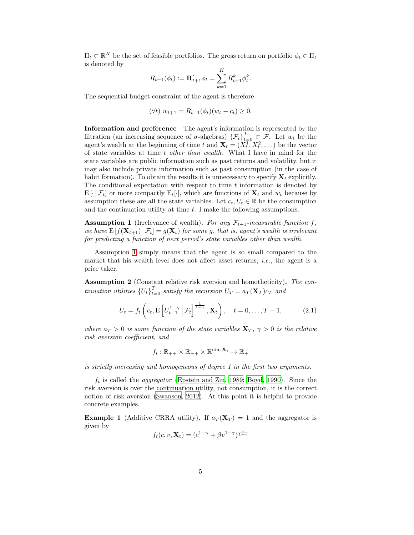$\Pi_t \subset \mathbb{R}^K$  be the set of feasible portfolios. The gross return on portfolio  $\phi_t \in \Pi_t$ is denoted by

$$
R_{t+1}(\phi_t) := \mathbf{R}'_{t+1}\phi_t = \sum_{k=1}^K R^k_{t+1}\phi^k_t.
$$

The sequential budget constraint of the agent is therefore

$$
(\forall t) w_{t+1} = R_{t+1}(\phi_t)(w_t - c_t) \ge 0.
$$

Information and preference The agent's information is represented by the filtration (an increasing sequence of  $\sigma$ -algebras)  $\{\mathcal{F}_t\}_{t=0}^T \subset \mathcal{F}$ . Let  $w_t$  be the agent's wealth at the beginning of time t and  $X_t = (X_t^1, X_t^2, \dots)$  be the vector of state variables at time t other than wealth. What I have in mind for the state variables are public information such as past returns and volatility, but it may also include private information such as past consumption (in the case of habit formation). To obtain the results it is unnecessary to specify  $\mathbf{X}_t$  explicitly. The conditional expectation with respect to time  $t$  information is denoted by  $E[\cdot | \mathcal{F}_t]$  or more compactly  $E_t[\cdot]$ , which are functions of  $\mathbf{X}_t$  and  $w_t$  because by assumption these are all the state variables. Let  $c_t, U_t \in \mathbb{R}$  be the consumption and the continuation utility at time  $t$ . I make the following assumptions.

<span id="page-4-0"></span>**Assumption 1** (Irrelevance of wealth). For any  $\mathcal{F}_{t+1}$ -measurable function f, we have  $E[f(\mathbf{X}_{t+1}) | \mathcal{F}_t] = g(\mathbf{X}_t)$  for some g, that is, agent's wealth is irrelevant for predicting a function of next period's state variables other than wealth.

Assumption [1](#page-4-0) simply means that the agent is so small compared to the market that his wealth level does not affect asset returns, *i.e.*, the agent is a price taker.

<span id="page-4-3"></span>Assumption 2 (Constant relative risk aversion and homotheticity). The continuation utilities  $\{U_t\}_{t=0}^T$  satisfy the recursion  $U_T = a_T(\mathbf{X}_T)c_T$  and

<span id="page-4-1"></span>
$$
U_t = f_t\left(c_t, \mathbf{E}\left[U_{t+1}^{1-\gamma} \, \middle| \, \mathcal{F}_t\right]^{\frac{1}{1-\gamma}}, \mathbf{X}_t\right), \quad t = 0, \dots, T-1,
$$
 (2.1)

where  $a_T > 0$  is some function of the state variables  ${\bf X}_T, \gamma > 0$  is the relative risk aversion coefficient, and

$$
f_t: \mathbb{R}_{++} \times \mathbb{R}_{++} \times \mathbb{R}^{\dim \mathbf{X}_t} \to \mathbb{R}_+
$$

is strictly increasing and homogeneous of degree 1 in the first two arguments.

 $f_t$  is called the *aggregator* [\(Epstein and Zin, 1989](#page-26-2); [Boyd, 1990](#page-25-0)). Since the risk aversion is over the continuation utility, not consumption, it is the correct notion of risk aversion [\(Swanson](#page-29-5), [2012\)](#page-29-5). At this point it is helpful to provide concrete examples.

<span id="page-4-2"></span>**Example 1** (Additive CRRA utility). If  $a_T(\mathbf{X}_T) = 1$  and the aggregator is given by

$$
f_t(c, v, \mathbf{X}_t) = (c^{1-\gamma} + \beta v^{1-\gamma})^{\frac{1}{1-\gamma}}
$$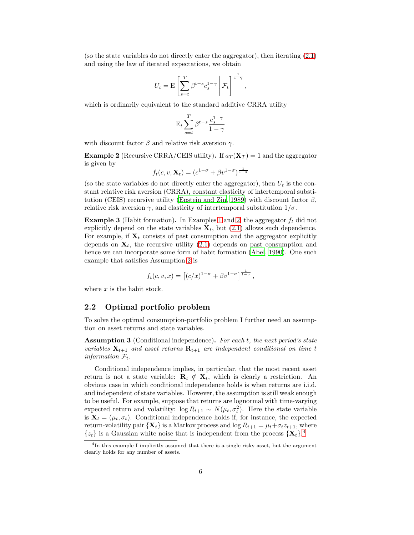(so the state variables do not directly enter the aggregator), then iterating [\(2.1\)](#page-4-1) and using the law of iterated expectations, we obtain

$$
U_t = \mathcal{E}\left[\sum_{s=t}^T \beta^{t-s} c_s^{1-\gamma} \middle| \mathcal{F}_t\right]^{\frac{1}{1-\gamma}},\,
$$

which is ordinarily equivalent to the standard additive CRRA utility

$$
\mathbf{E}_t \sum_{s=t}^T \beta^{t-s} \frac{c_s^{1-\gamma}}{1-\gamma}
$$

with discount factor  $\beta$  and relative risk aversion  $\gamma$ .

<span id="page-5-0"></span>**Example 2** (Recursive CRRA/CEIS utility). If  $a_T(\mathbf{X}_T) = 1$  and the aggregator is given by

$$
f_t(c, v, \mathbf{X}_t) = (c^{1-\sigma} + \beta v^{1-\sigma})^{\frac{1}{1-\sigma}}
$$

(so the state variables do not directly enter the aggregator), then  $U_t$  is the constant relative risk aversion (CRRA), constant elasticity of intertemporal substi-tution (CEIS) recursive utility [\(Epstein and Zin, 1989\)](#page-26-2) with discount factor  $\beta$ , relative risk aversion  $\gamma$ , and elasticity of intertemporal substitution  $1/\sigma$ .

**Example 3** (Habit formation). In Examples [1](#page-4-2) and [2,](#page-5-0) the aggregator  $f_t$  did not explicitly depend on the state variables  $\mathbf{X}_t$ , but [\(2.1\)](#page-4-1) allows such dependence. For example, if  $X_t$  consists of past consumption and the aggregator explicitly depends on  $X_t$ , the recursive utility [\(2.1\)](#page-4-1) depends on past consumption and hence we can incorporate some form of habit formation [\(Abel, 1990\)](#page-25-1). One such example that satisfies Assumption [2](#page-4-3) is

$$
f_t(c, v, x) = [(c/x)^{1-\sigma} + \beta v^{1-\sigma}]^{\frac{1}{1-\sigma}},
$$

where  $x$  is the habit stock.

### 2.2 Optimal portfolio problem

To solve the optimal consumption-portfolio problem I further need an assumption on asset returns and state variables.

<span id="page-5-2"></span>Assumption 3 (Conditional independence). For each t, the next period's state variables  $X_{t+1}$  and asset returns  $R_{t+1}$  are independent conditional on time t information  $\mathcal{F}_t$ .

Conditional independence implies, in particular, that the most recent asset return is not a state variable:  $\mathbf{R}_t \notin \mathbf{X}_t$ , which is clearly a restriction. An obvious case in which conditional independence holds is when returns are i.i.d. and independent of state variables. However, the assumption is still weak enough to be useful. For example, suppose that returns are lognormal with time-varying expected return and volatility:  $\log R_{t+1} \sim N(\mu_t, \sigma_t^2)$ . Here the state variable is  $\mathbf{X}_t = (\mu_t, \sigma_t)$ . Conditional independence holds if, for instance, the expected return-volatility pair  $\{X_t\}$  is a Markov process and  $\log R_{t+1} = \mu_t + \sigma_t z_{t+1}$ , where  $\{z_t\}$  is a Gaussian white noise that is independent from the process  $\{\mathbf X_t\}$ <sup>[4](#page-5-1)</sup>.

<span id="page-5-1"></span><sup>&</sup>lt;sup>4</sup>In this example I implicitly assumed that there is a single risky asset, but the argument clearly holds for any number of assets.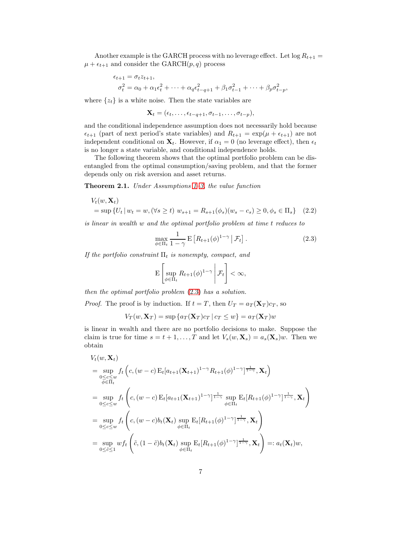Another example is the GARCH process with no leverage effect. Let  $\log R_{t+1} =$  $\mu + \epsilon_{t+1}$  and consider the GARCH $(p, q)$  process

$$
\epsilon_{t+1} = \sigma_t z_{t+1}, \n\sigma_t^2 = \alpha_0 + \alpha_1 \epsilon_t^2 + \dots + \alpha_q \epsilon_{t-q+1}^2 + \beta_1 \sigma_{t-1}^2 + \dots + \beta_p \sigma_{t-p}^2,
$$

where  $\{z_t\}$  is a white noise. Then the state variables are

$$
\mathbf{X}_t = (\epsilon_t, \ldots, \epsilon_{t-q+1}, \sigma_{t-1}, \ldots, \sigma_{t-p}),
$$

and the conditional independence assumption does not necessarily hold because  $\epsilon_{t+1}$  (part of next period's state variables) and  $R_{t+1} = \exp(\mu + \epsilon_{t+1})$  are not independent conditional on  $X_t$ . However, if  $\alpha_1 = 0$  (no leverage effect), then  $\epsilon_t$ is no longer a state variable, and conditional independence holds.

The following theorem shows that the optimal portfolio problem can be disentangled from the optimal consumption/saving problem, and that the former depends only on risk aversion and asset returns.

<span id="page-6-1"></span>**Theorem 2.1.** Under Assumptions  $1-\theta$ , the value function

$$
V_t(w, \mathbf{X}_t)
$$
  
= sup { $U_t | w_t = w$ , ( $\forall s \ge t$ )  $w_{s+1} = R_{s+1}(\phi_s)(w_s - c_s) \ge 0, \phi_s \in \Pi_s$ } (2.2)

is linear in wealth w and the optimal portfolio problem at time t reduces to

<span id="page-6-2"></span><span id="page-6-0"></span>
$$
\max_{\phi \in \Pi_t} \frac{1}{1 - \gamma} \mathbf{E} \left[ R_{t+1}(\phi)^{1 - \gamma} \, \middle| \, \mathcal{F}_t \right]. \tag{2.3}
$$

If the portfolio constraint  $\Pi_t$  is nonempty, compact, and

$$
\mathrm{E}\left[\sup_{\phi\in\Pi_t}R_{t+1}(\phi)^{1-\gamma}\middle|\mathcal{F}_t\right]<\infty,
$$

then the optimal portfolio problem [\(2.3\)](#page-6-0) has a solution.

*Proof.* The proof is by induction. If  $t = T$ , then  $U_T = a_T(\mathbf{X}_T)c_T$ , so

$$
V_T(w, \mathbf{X}_T) = \sup \{ a_T(\mathbf{X}_T) c_T \mid c_T \le w \} = a_T(\mathbf{X}_T) w
$$

is linear in wealth and there are no portfolio decisions to make. Suppose the claim is true for time  $s = t + 1, \ldots, T$  and let  $V_s(w, \mathbf{X}_s) = a_s(\mathbf{X}_s)w$ . Then we obtain

$$
V_t(w, \mathbf{X}_t)
$$
  
\n
$$
= \sup_{\substack{0 \leq c \leq w \\ \phi \in \Pi_t}} f_t \left( c, (w - c) \mathbf{E}_t [a_{t+1}(\mathbf{X}_{t+1})^{1-\gamma} R_{t+1}(\phi)^{1-\gamma}]^{\frac{1}{1-\gamma}}, \mathbf{X}_t \right)
$$
  
\n
$$
= \sup_{0 \leq c \leq w} f_t \left( c, (w - c) \mathbf{E}_t [a_{t+1}(\mathbf{X}_{t+1})^{1-\gamma}]^{\frac{1}{1-\gamma}} \sup_{\phi \in \Pi_t} \mathbf{E}_t [R_{t+1}(\phi)^{1-\gamma}]^{\frac{1}{1-\gamma}}, \mathbf{X}_t \right)
$$
  
\n
$$
= \sup_{0 \leq c \leq w} f_t \left( c, (w - c) b_t(\mathbf{X}_t) \sup_{\phi \in \Pi_t} \mathbf{E}_t [R_{t+1}(\phi)^{1-\gamma}]^{\frac{1}{1-\gamma}}, \mathbf{X}_t \right)
$$
  
\n
$$
= \sup_{0 \leq \tilde{c} \leq 1} w f_t \left( \tilde{c}, (1 - \tilde{c}) b_t(\mathbf{X}_t) \sup_{\phi \in \Pi_t} \mathbf{E}_t [R_{t+1}(\phi)^{1-\gamma}]^{\frac{1}{1-\gamma}}, \mathbf{X}_t \right) =: a_t(\mathbf{X}_t) w,
$$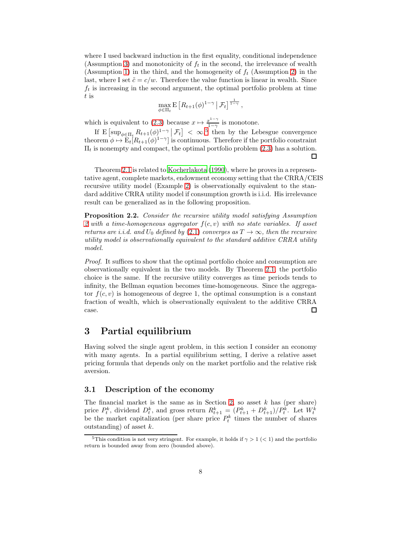where I used backward induction in the first equality, conditional independence (Assumption [3\)](#page-5-2) and monotonicity of  $f_t$  in the second, the irrelevance of wealth (Assumption [1\)](#page-4-0) in the third, and the homogeneity of  $f_t$  (Assumption [2\)](#page-4-3) in the last, where I set  $\tilde{c} = c/w$ . Therefore the value function is linear in wealth. Since  $f_t$  is increasing in the second argument, the optimal portfolio problem at time t is

$$
\max_{\phi \in \Pi_t} \mathbf{E} \left[ R_{t+1}(\phi)^{1-\gamma} \, \middle| \, \mathcal{F}_t \right]^{\frac{1}{1-\gamma}},
$$

which is equivalent to [\(2.3\)](#page-6-0) because  $x \mapsto \frac{x^{1-\gamma}}{1-\gamma}$  $rac{x^{2}}{1-\gamma}$  is monotone.

If  $E\left[\sup_{\phi \in \Pi_t} R_{t+1}(\phi)^{1-\gamma} \middle| \mathcal{F}_t\right] < \infty$ , then by the Lebesgue convergence theorem  $\phi \mapsto E_t[R_{t+1}(\phi)^{1-\gamma}]$  is continuous. Therefore if the portfolio constraint  $\Pi_t$  is nonempty and compact, the optimal portfolio problem [\(2.3\)](#page-6-0) has a solution. □

Theorem [2.1](#page-6-1) is related to [Kocherlakota \(1990](#page-27-4)), where he proves in a representative agent, complete markets, endowment economy setting that the CRRA/CEIS recursive utility model (Example [2\)](#page-5-0) is observationally equivalent to the standard additive CRRA utility model if consumption growth is i.i.d. His irrelevance result can be generalized as in the following proposition.

<span id="page-7-2"></span>Proposition 2.2. Consider the recursive utility model satisfying Assumption [2](#page-4-3) with a time-homogeneous aggregator  $f(c, v)$  with no state variables. If asset returns are i.i.d. and  $U_0$  defined by [\(2.1\)](#page-4-1) converges as  $T \to \infty$ , then the recursive utility model is observationally equivalent to the standard additive CRRA utility model.

Proof. It suffices to show that the optimal portfolio choice and consumption are observationally equivalent in the two models. By Theorem [2.1,](#page-6-1) the portfolio choice is the same. If the recursive utility converges as time periods tends to infinity, the Bellman equation becomes time-homogeneous. Since the aggregator  $f(c, v)$  is homogeneous of degree 1, the optimal consumption is a constant fraction of wealth, which is observationally equivalent to the additive CRRA case. 口

# <span id="page-7-0"></span>3 Partial equilibrium

Having solved the single agent problem, in this section I consider an economy with many agents. In a partial equilibrium setting, I derive a relative asset pricing formula that depends only on the market portfolio and the relative risk aversion.

### 3.1 Description of the economy

The financial market is the same as in Section [2,](#page-3-0) so asset  $k$  has (per share) price  $P_t^k$ , dividend  $D_t^k$ , and gross return  $R_{t+1}^k = (P_{t+1}^k + D_{t+1}^k)/P_t^k$ . Let  $W_t^k$  be the market capitalization (per share price  $P_t^k$  times the number of shares outstanding) of asset  $k$ .

<span id="page-7-1"></span><sup>&</sup>lt;sup>5</sup>This condition is not very stringent. For example, it holds if  $\gamma > 1$  (< 1) and the portfolio return is bounded away from zero (bounded above).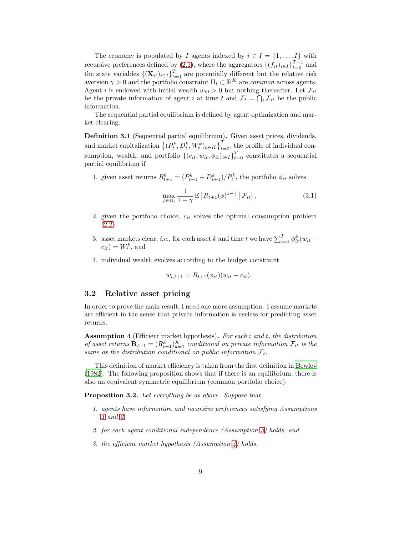The economy is populated by I agents indexed by  $i \in I = \{1, \ldots, I\}$  with recursive preferences defined by [\(2.1\)](#page-4-1), where the aggregators  $\{(f_{it})_{i\in I}\}_{t=0}^{T-1}$  and the state variables  $\{(\mathbf{X}_{it})_{i\in I}\}_{t=0}^T$  are potentially different but the relative risk aversion  $\gamma > 0$  and the portfolio constraint  $\Pi_t \subset \mathbb{R}^K$  are *common* across agents. Agent i is endowed with initial wealth  $w_{i0} > 0$  but nothing thereafter. Let  $\mathcal{F}_{it}$ be the private information of agent i at time t and  $\mathcal{F}_t = \bigcap_i \mathcal{F}_{it}$  be the public information.

The sequential partial equilibrium is defined by agent optimization and market clearing.

Definition 3.1 (Sequential partial equilibrium). Given asset prices, dividends, and market capitalization  $\{(P_t^k, D_t^k, W_t^k)_{k \in K}\}_{t=0}^T$ , the profile of individual consumption, wealth, and portfolio  $\{(c_{it}, w_{it}, \phi_{it})_{i \in I}\}_{t=0}^T$  constitutes a sequential partial equilibrium if

1. given asset returns  $R_{t+1}^k = (P_{t+1}^k + D_{t+1}^k)/P_t^k$ , the portfolio  $\phi_{it}$  solves

<span id="page-8-1"></span>
$$
\max_{\phi \in \Pi_t} \frac{1}{1 - \gamma} \mathbf{E} \left[ R_{t+1}(\phi)^{1 - \gamma} \, \middle| \, \mathcal{F}_{it} \right],\tag{3.1}
$$

- 2. given the portfolio choice,  $c_{it}$  solves the optimal consumption problem [\(2.2\)](#page-6-2),
- 3. asset markets clear, *i.e.*, for each asset k and time t we have  $\sum_{i=1}^{I} \phi_{it}^{k}(w_{it}$  $c_{it}$ ) =  $W_t^k$ , and
- 4. individual wealth evolves according to the budget constraint

$$
w_{i,t+1} = R_{t+1}(\phi_{it})(w_{it} - c_{it}).
$$

#### <span id="page-8-3"></span>3.2 Relative asset pricing

In order to prove the main result, I need one more assumption. I assume markets are efficient in the sense that private information is useless for predicting asset returns.

<span id="page-8-0"></span>Assumption 4 (Efficient market hypothesis). For each i and t, the distribution of asset returns  $\mathbf{R}_{t+1} = (R_{t+1}^k)_{k=1}^K$  conditional on private information  $\mathcal{F}_{it}$  is the same as the distribution conditional on public information  $\mathcal{F}_t$ .

This definition of market efficiency is taken from the first definition in [Bewley](#page-25-2) [\(1982\)](#page-25-2). The following proposition shows that if there is an equilibrium, there is also an equivalent symmetric equilibrium (common portfolio choice).

<span id="page-8-2"></span>**Proposition 3.2.** Let everything be as above. Suppose that

- 1. agents have information and recursive preferences satisfying Assumptions [1](#page-4-0) and [2,](#page-4-3)
- 2. for each agent conditional independence (Assumption [3\)](#page-5-2) holds, and
- 3. the efficient market hypothesis (Assumption [4\)](#page-8-0) holds.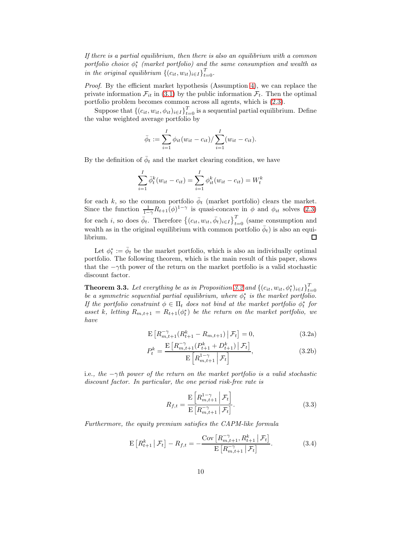If there is a partial equilibrium, then there is also an equilibrium with a common portfolio choice  $\phi_t^*$  (market portfolio) and the same consumption and wealth as in the original equilibrium  $\{(c_{it}, w_{it})_{i \in I}\}_{t=0}^T$ .

Proof. By the efficient market hypothesis (Assumption [4\)](#page-8-0), we can replace the private information  $\mathcal{F}_{it}$  in [\(3.1\)](#page-8-1) by the public information  $\mathcal{F}_{t}$ . Then the optimal portfolio problem becomes common across all agents, which is [\(2.3\)](#page-6-0).

Suppose that  $\{(c_{it}, w_{it}, \phi_{it})_{i \in I}\}_{t=0}^T$  is a sequential partial equilibrium. Define the value weighted average portfolio by

$$
\bar{\phi}_t := \sum_{i=1}^I \phi_{it}(w_{it} - c_{it}) / \sum_{i=1}^I (w_{it} - c_{it}).
$$

By the definition of  $\bar{\phi}_t$  and the market clearing condition, we have

$$
\sum_{i=1}^{I} \bar{\phi}_t^k (w_{it} - c_{it}) = \sum_{i=1}^{I} \phi_{it}^k (w_{it} - c_{it}) = W_t^k
$$

for each k, so the common portfolio  $\bar{\phi}_t$  (market portfolio) clears the market. Since the function  $\frac{1}{1-\gamma}R_{t+1}(\phi)^{1-\gamma}$  is quasi-concave in  $\phi$  and  $\phi_{it}$  solves [\(2.3\)](#page-6-0) for each *i*, so does  $\bar{\phi}_t$ . Therefore  $\{(c_{it}, w_{it}, \bar{\phi}_t)_{i \in I}\}_{t=0}^T$  (same consumption and wealth as in the original equilibrium with common portfolio  $\bar{\phi}_t$ ) is also an equilibrium.  $\Box$ 

Let  $\phi_t^* := \bar{\phi}_t$  be the market portfolio, which is also an individually optimal portfolio. The following theorem, which is the main result of this paper, shows that the  $-\gamma$ th power of the return on the market portfolio is a valid stochastic discount factor.

<span id="page-9-4"></span>**Theorem 3.3.** Let everything be as in Proposition [3.2](#page-8-2) and  $\{(c_{it}, w_{it}, \phi_t^*)_{i \in I}\}_{t=0}^T$ be a symmetric sequential partial equilibrium, where  $\phi_t^*$  is the market portfolio. If the portfolio constraint  $\phi \in \Pi_t$  does not bind at the market portfolio  $\phi_t^*$  for asset k, letting  $R_{m,t+1} = R_{t+1}(\phi_t^*)$  be the return on the market portfolio, we have

$$
\mathbf{E}\left[R_{m,t+1}^{-\gamma}(R_{t+1}^{k}-R_{m,t+1})\,\big|\,\mathcal{F}_{t}\right]=0,\tag{3.2a}
$$

$$
P_{t}^{k} = \frac{\mathrm{E}\left[R_{m,t+1}^{-\gamma}(P_{t+1}^{k} + D_{t+1}^{k})\,\middle|\,\mathcal{F}_{t}\right]}{\mathrm{E}\left[R_{m,t+1}^{1-\gamma}\,\middle|\,\mathcal{F}_{t}\right]},\tag{3.2b}
$$

i.e., the  $-\gamma$ th power of the return on the market portfolio is a valid stochastic discount factor. In particular, the one period risk-free rate is

<span id="page-9-2"></span><span id="page-9-1"></span><span id="page-9-0"></span>
$$
R_{f,t} = \frac{\mathrm{E}\left[R_{m,t+1}^{1-\gamma} \middle| \mathcal{F}_t\right]}{\mathrm{E}\left[R_{m,t+1}^{-\gamma} \middle| \mathcal{F}_t\right]}.
$$
\n(3.3)

Furthermore, the equity premium satisfies the CAPM-like formula

<span id="page-9-3"></span>
$$
\mathbf{E}\left[R_{t+1}^k \,|\, \mathcal{F}_t\right] - R_{f,t} = -\frac{\text{Cov}\left[R_{m,t+1}^{-\gamma}, R_{t+1}^k \,|\, \mathcal{F}_t\right]}{\mathbf{E}\left[R_{m,t+1}^{-\gamma} \,|\, \mathcal{F}_t\right]}.\tag{3.4}
$$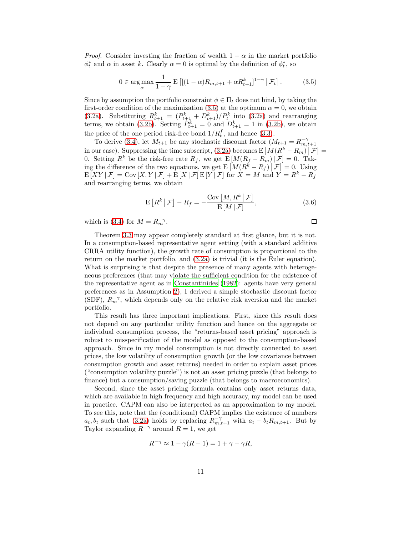*Proof.* Consider investing the fraction of wealth  $1 - \alpha$  in the market portfolio  $\phi_t^*$  and  $\alpha$  in asset k. Clearly  $\alpha = 0$  is optimal by the definition of  $\phi_t^*$ , so

<span id="page-10-0"></span>
$$
0 \in \underset{\alpha}{\arg \max} \frac{1}{1 - \gamma} \mathbf{E}\left[ \left[ (1 - \alpha) R_{m, t+1} + \alpha R_{t+1}^{k} \right]^{1 - \gamma} \middle| \mathcal{F}_t \right]. \tag{3.5}
$$

Since by assumption the portfolio constraint  $\phi \in \Pi_t$  does not bind, by taking the first-order condition of the maximization [\(3.5\)](#page-10-0) at the optimum  $\alpha = 0$ , we obtain [\(3.2a\)](#page-9-0). Substituting  $R_{t+1}^k = (P_{t+1}^k + D_{t+1}^k)/P_t^k$  into [\(3.2a\)](#page-9-0) and rearranging terms, we obtain [\(3.2b\)](#page-9-1). Setting  $P_{t+1}^k = 0$  and  $D_{t+1}^k = 1$  in (3.2b), we obtain the price of the one period risk-free bond  $1/R_t^f$ , and hence [\(3.3\)](#page-9-2).

To derive [\(3.4\)](#page-9-3), let  $M_{t+1}$  be any stochastic discount factor  $(M_{t+1} = R_{m,t+1}^{-\gamma})$ in our case). Suppressing the time subscript, [\(3.2a\)](#page-9-0) becomes  $E\left[M(R^k - R_m) | \mathcal{F}\right] =$ m our case). Suppressing the time subscript, (3.2a) becomes  $E[M(R_f - R_m)|\mathcal{F}] = 0$ . Tak-<br>0. Setting  $R^k$  be the risk-free rate  $R_f$ , we get  $E[M(R_f - R_m)|\mathcal{F}] = 0$ . Taking the difference of the two equations, we get  $E\left[M(R^k - R_f)\Big|\mathcal{F}\right] = 0$ . Using  $E[XY|\mathcal{F}] = \text{Cov}[X, Y|\mathcal{F}] + E[X|\mathcal{F}]E[Y|\mathcal{F}]$  for  $X = M$  and  $Y = R^k - R_f$ and rearranging terms, we obtain

$$
E[R^k | \mathcal{F}] - R_f = -\frac{\text{Cov}[M, R^k | \mathcal{F}]}{E[M | \mathcal{F}]},
$$
\n(3.6)

 $\Box$ 

which is [\(3.4\)](#page-9-3) for  $M = R_m^{-\gamma}$ .

Theorem [3.3](#page-9-4) may appear completely standard at first glance, but it is not. In a consumption-based representative agent setting (with a standard additive CRRA utility function), the growth rate of consumption is proportional to the return on the market portfolio, and [\(3.2a\)](#page-9-0) is trivial (it is the Euler equation). What is surprising is that despite the presence of many agents with heterogeneous preferences (that may violate the sufficient condition for the existence of the representative agent as in [Constantinides \(1982\)](#page-26-5): agents have very general preferences as in Assumption [2\)](#page-4-3), I derived a simple stochastic discount factor (SDF),  $R_m^{-\gamma}$ , which depends only on the relative risk aversion and the market portfolio.

This result has three important implications. First, since this result does not depend on any particular utility function and hence on the aggregate or individual consumption process, the "returns-based asset pricing" approach is robust to misspecification of the model as opposed to the consumption-based approach. Since in my model consumption is not directly connected to asset prices, the low volatility of consumption growth (or the low covariance between consumption growth and asset returns) needed in order to explain asset prices ("consumption volatility puzzle") is not an asset pricing puzzle (that belongs to finance) but a consumption/saving puzzle (that belongs to macroeconomics).

Second, since the asset pricing formula contains only asset returns data, which are available in high frequency and high accuracy, my model can be used in practice. CAPM can also be interpreted as an approximation to my model. To see this, note that the (conditional) CAPM implies the existence of numbers  $a_t, b_t$  such that [\(3.2a\)](#page-9-0) holds by replacing  $R_{m,t+1}^{-\gamma}$  with  $a_t - b_t R_{m,t+1}$ . But by Taylor expanding  $R^{-\gamma}$  around  $R = 1$ , we get

$$
R^{-\gamma} \approx 1 - \gamma(R - 1) = 1 + \gamma - \gamma R,
$$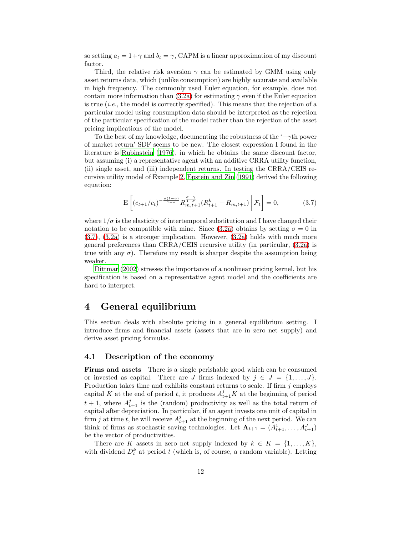so setting  $a_t = 1 + \gamma$  and  $b_t = \gamma$ , CAPM is a linear approximation of my discount factor.

Third, the relative risk aversion  $\gamma$  can be estimated by GMM using only asset returns data, which (unlike consumption) are highly accurate and available in high frequency. The commonly used Euler equation, for example, does not contain more information than [\(3.2a\)](#page-9-0) for estimating  $\gamma$  even if the Euler equation is true  $(i.e.,$  the model is correctly specified). This means that the rejection of a particular model using consumption data should be interpreted as the rejection of the particular specification of the model rather than the rejection of the asset pricing implications of the model.

To the best of my knowledge, documenting the robustness of the ' $-\gamma$ <sup>th</sup> power of market return' SDF seems to be new. The closest expression I found in the literature is [Rubinstein \(1976\)](#page-29-3), in which he obtains the same discount factor, but assuming (i) a representative agent with an additive CRRA utility function, (ii) single asset, and (iii) independent returns. In testing the CRRA/CEIS recursive utility model of Example [2,](#page-5-0) [Epstein and Zin \(1991\)](#page-26-6) derived the following equation:

<span id="page-11-1"></span>
$$
\mathcal{E}\left[ (c_{t+1}/c_t)^{-\frac{\sigma(1-\gamma)}{1-\sigma}} R_{m,t+1}^{\frac{\sigma-\gamma}{1-\sigma}} (R_{t+1}^k - R_{m,t+1}) \middle| \mathcal{F}_t \right] = 0, \tag{3.7}
$$

where  $1/\sigma$  is the elasticity of intertemporal substitution and I have changed their notation to be compatible with mine. Since [\(3.2a\)](#page-9-0) obtains by setting  $\sigma = 0$  in [\(3.7\)](#page-11-1), [\(3.2a\)](#page-9-0) is a stronger implication. However, [\(3.2a\)](#page-9-0) holds with much more general preferences than CRRA/CEIS recursive utility (in particular, [\(3.2a\)](#page-9-0) is true with any  $\sigma$ ). Therefore my result is sharper despite the assumption being weaker.

[Dittmar \(2002\)](#page-26-7) stresses the importance of a nonlinear pricing kernel, but his specification is based on a representative agent model and the coefficients are hard to interpret.

## <span id="page-11-0"></span>4 General equilibrium

This section deals with absolute pricing in a general equilibrium setting. I introduce firms and financial assets (assets that are in zero net supply) and derive asset pricing formulas.

### 4.1 Description of the economy

Firms and assets There is a single perishable good which can be consumed or invested as capital. There are J firms indexed by  $j \in J = \{1, \ldots, J\}$ . Production takes time and exhibits constant returns to scale. If firm  $j$  employs capital K at the end of period t, it produces  $A_{t+1}^j K$  at the beginning of period  $t + 1$ , where  $A_{t+1}^j$  is the (random) productivity as well as the total return of capital after depreciation. In particular, if an agent invests one unit of capital in firm j at time t, he will receive  $A_{t+1}^j$  at the beginning of the next period. We can think of firms as stochastic saving technologies. Let  $\mathbf{A}_{t+1} = (A_{t+1}^1, \ldots, A_{t+1}^J)$ be the vector of productivities.

There are K assets in zero net supply indexed by  $k \in K = \{1, \ldots, K\}$ , with dividend  $D_t^k$  at period t (which is, of course, a random variable). Letting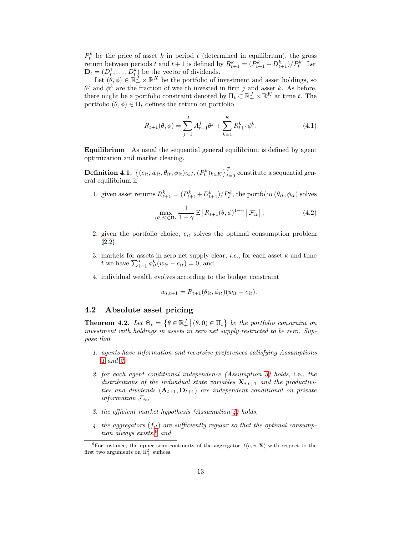$P_t^k$  be the price of asset k in period t (determined in equilibrium), the gross return between periods t and  $t+1$  is defined by  $R_{t+1}^k = (P_{t+1}^k + D_{t+1}^k)/P_t^k$ . Let  $\mathbf{D}_t = (D_t^1, \dots, D_t^k)$  be the vector of dividends.

Let  $(\theta, \phi) \in \mathbb{R}_+^J \times \mathbb{R}^K$  be the portfolio of investment and asset holdings, so  $\theta^j$  and  $\phi^k$  are the fraction of wealth invested in firm j and asset k. As before, there might be a portfolio constraint denoted by  $\Pi_t \subset \mathbb{R}_+^J \times \mathbb{R}^K$  at time t. The portfolio  $(\theta, \phi) \in \Pi_t$  defines the return on portfolio

<span id="page-12-2"></span>
$$
R_{t+1}(\theta,\phi) = \sum_{j=1}^{J} A_{t+1}^{j} \theta^{j} + \sum_{k=1}^{K} R_{t+1}^{k} \phi^{k}.
$$
 (4.1)

Equilibrium As usual the sequential general equilibrium is defined by agent optimization and market clearing.

**Definition 4.1.**  $\{(c_{it}, w_{it}, \theta_{it}, \phi_{it})_{i \in I}, (P_t^k)_{k \in K}\}_{t=0}^T$  constitute a sequential general equilibrium if

1. given asset returns  $R_{t+1}^k = (P_{t+1}^k + D_{t+1}^k)/P_t^k$ , the portfolio  $(\theta_{it}, \phi_{it})$  solves

<span id="page-12-1"></span>
$$
\max_{(\theta,\phi)\in\Pi_t} \frac{1}{1-\gamma} \mathbf{E}\left[R_{t+1}(\theta,\phi)^{1-\gamma} \,|\,\mathcal{F}_{it}\right],\tag{4.2}
$$

- 2. given the portfolio choice,  $c_{it}$  solves the optimal consumption problem  $(2.2),$  $(2.2),$
- 3. markets for assets in zero net supply clear, *i.e.*, for each asset  $k$  and time t we have  $\sum_{i=1}^{I} \phi_{it}^{k}(w_{it} - c_{it}) = 0$ , and
- 4. individual wealth evolves according to the budget constraint

$$
w_{i,t+1} = R_{t+1}(\theta_{it}, \phi_{it})(w_{it} - c_{it}).
$$

#### 4.2 Absolute asset pricing

<span id="page-12-3"></span>**Theorem 4.2.** Let  $\Theta_t = \{ \theta \in \mathbb{R}^J_+ \mid (\theta, 0) \in \Pi_t \}$  be the portfolio constraint on investment with holdings in assets in zero net supply restricted to be zero. Suppose that

- 1. agents have information and recursive preferences satisfying Assumptions [1](#page-4-0) and [2,](#page-4-3)
- 2. for each agent conditional independence (Assumption [3\)](#page-5-2) holds, i.e., the distributions of the individual state variables  $\mathbf{X}_{i,t+1}$  and the productivities and dividends  $(A_{t+1}, D_{t+1})$  are independent conditional on private information  $\mathcal{F}_{it}$ ,
- 3. the efficient market hypothesis (Assumption  $\lambda$ ) holds,
- 4. the aggregators  $(f_{it})$  are sufficiently regular so that the optimal consump-tion always exists,<sup>[6](#page-12-0)</sup> and

<span id="page-12-0"></span><sup>&</sup>lt;sup>6</sup>For instance, the upper semi-continuity of the aggregator  $f(c, v, \mathbf{X})$  with respect to the first two arguments on  $\mathbb{R}^2_+$  suffices.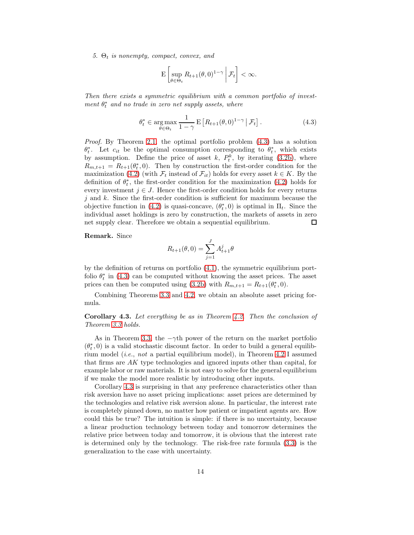5.  $\Theta_t$  is nonempty, compact, convex, and

$$
\mathrm{E}\left[\sup_{\theta\in\Theta_t}R_{t+1}(\theta,0)^{1-\gamma}\bigg|\mathcal{F}_t\right]<\infty.
$$

Then there exists a symmetric equilibrium with a common portfolio of investment  $\theta_t^*$  and no trade in zero net supply assets, where

<span id="page-13-0"></span>
$$
\theta_t^* \in \underset{\theta \in \Theta_t}{\arg \max} \frac{1}{1 - \gamma} \mathbf{E} \left[ R_{t+1}(\theta, 0)^{1 - \gamma} \, \middle| \, \mathcal{F}_t \right]. \tag{4.3}
$$

Proof. By Theorem [2.1,](#page-6-1) the optimal portfolio problem [\(4.3\)](#page-13-0) has a solution  $\theta_t^*$ . Let  $c_{it}$  be the optimal consumption corresponding to  $\theta_t^*$ , which exists by assumption. Define the price of asset k,  $P_t^k$ , by iterating [\(3.2b\)](#page-9-1), where  $R_{m,t+1} = R_{t+1}(\theta_t^*,0)$ . Then by construction the first-order condition for the maximization [\(4.2\)](#page-12-1) (with  $\mathcal{F}_t$  instead of  $\mathcal{F}_{it}$ ) holds for every asset  $k \in K$ . By the definition of  $\theta_t^*$ , the first-order condition for the maximization [\(4.2\)](#page-12-1) holds for every investment  $j \in J$ . Hence the first-order condition holds for every returns  $j$  and k. Since the first-order condition is sufficient for maximum because the objective function in [\(4.2\)](#page-12-1) is quasi-concave,  $(\theta_t^*, 0)$  is optimal in  $\Pi_t$ . Since the individual asset holdings is zero by construction, the markets of assets in zero net supply clear. Therefore we obtain a sequential equilibrium. □

Remark. Since

$$
R_{t+1}(\theta,0) = \sum_{j=1}^{J} A_{t+1}^{j} \theta
$$

by the definition of returns on portfolio [\(4.1\)](#page-12-2), the symmetric equilibrium portfolio  $\theta_t^*$  in [\(4.3\)](#page-13-0) can be computed without knowing the asset prices. The asset prices can then be computed using [\(3.2b\)](#page-9-1) with  $R_{m,t+1} = R_{t+1}(\theta_t^*, 0)$ .

Combining Theorems [3.3](#page-9-4) and [4.2,](#page-12-3) we obtain an absolute asset pricing formula.

<span id="page-13-1"></span>Corollary 4.3. Let everything be as in Theorem [4.2.](#page-12-3) Then the conclusion of Theorem [3.3](#page-9-4) holds.

As in Theorem [3.3,](#page-9-4) the  $-\gamma$ th power of the return on the market portfolio  $(\theta_t^*,0)$  is a valid stochastic discount factor. In order to build a general equilibrium model (*i.e.*, not a partial equilibrium model), in Theorem [4.2](#page-12-3) I assumed that firms are AK type technologies and ignored inputs other than capital, for example labor or raw materials. It is not easy to solve for the general equilibrium if we make the model more realistic by introducing other inputs.

Corollary [4.3](#page-13-1) is surprising in that any preference characteristics other than risk aversion have no asset pricing implications: asset prices are determined by the technologies and relative risk aversion alone. In particular, the interest rate is completely pinned down, no matter how patient or impatient agents are. How could this be true? The intuition is simple: if there is no uncertainty, because a linear production technology between today and tomorrow determines the relative price between today and tomorrow, it is obvious that the interest rate is determined only by the technology. The risk-free rate formula [\(3.3\)](#page-9-2) is the generalization to the case with uncertainty.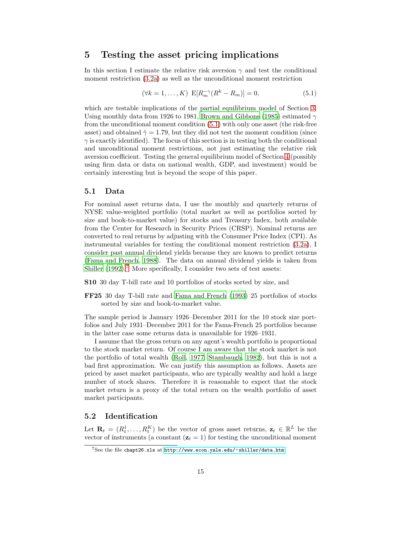## <span id="page-14-0"></span>5 Testing the asset pricing implications

In this section I estimate the relative risk aversion  $\gamma$  and test the conditional moment restriction [\(3.2a\)](#page-9-0) as well as the unconditional moment restriction

<span id="page-14-1"></span>
$$
(\forall k = 1, ..., K) \ \mathbf{E}[R_m^{-\gamma}(R^k - R_m)] = 0,\tag{5.1}
$$

which are testable implications of the partial equilibrium model of Section [3.](#page-7-0) Using monthly data from 1926 to 1981, [Brown and Gibbons \(1985\)](#page-25-3) estimated  $\gamma$ from the unconditional moment condition [\(5.1\)](#page-14-1) with only one asset (the risk-free asset) and obtained  $\hat{\gamma} = 1.79$ , but they did not test the moment condition (since  $\gamma$  is exactly identified). The focus of this section is in testing both the conditional and unconditional moment restrictions, not just estimating the relative risk aversion coefficient. Testing the general equilibrium model of Section [4](#page-11-0) (possibly using firm data or data on national wealth, GDP, and investment) would be certainly interesting but is beyond the scope of this paper.

#### 5.1 Data

For nominal asset returns data, I use the monthly and quarterly returns of NYSE value-weighted portfolio (total market as well as portfolios sorted by size and book-to-market value) for stocks and Treasury Index, both available from the Center for Research in Security Prices (CRSP). Nominal returns are converted to real returns by adjusting with the Consumer Price Index (CPI). As instrumental variables for testing the conditional moment restriction [\(3.2a\)](#page-9-0), I consider past annual dividend yields because they are known to predict returns [\(Fama and French, 1988\)](#page-27-5). The data on annual dividend yields is taken from [Shiller \(1992\)](#page-29-6).<sup>[7](#page-14-2)</sup> More specifically, I consider two sets of test assets:

S10 30 day T-bill rate and 10 portfolios of stocks sorted by size, and

FF25 30 day T-bill rate and [Fama and French \(1993\)](#page-27-6) 25 portfolios of stocks sorted by size and book-to-market value.

The sample period is January 1926–December 2011 for the 10 stock size portfolios and July 1931–December 2011 for the Fama-French 25 portfolios because in the latter case some returns data is unavailable for 1926–1931.

I assume that the gross return on any agent's wealth portfolio is proportional to the stock market return. Of course I am aware that the stock market is not the portfolio of total wealth [\(Roll, 1977;](#page-28-7) [Stambaugh](#page-29-7), [1982](#page-29-7)), but this is not a bad first approximation. We can justify this assumption as follows. Assets are priced by asset market participants, who are typically wealthy and hold a large number of stock shares. Therefore it is reasonable to expect that the stock market return is a proxy of the total return on the wealth portfolio of asset market participants.

### 5.2 Identification

Let  $\mathbf{R}_t = (R_t^1, \ldots, R_t^K)$  be the vector of gross asset returns,  $\mathbf{z}_t \in \mathbb{R}^L$  be the vector of instruments (a constant  $(z_t = 1)$  for testing the unconditional moment

<span id="page-14-2"></span><sup>7</sup>See the file chapt26.xls at <http://www.econ.yale.edu/~shiller/data.htm>.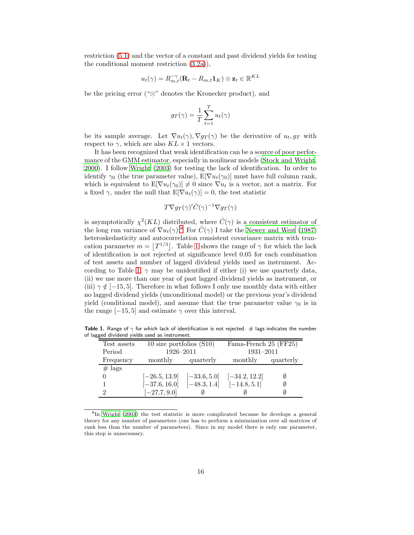restriction [\(5.1\)](#page-14-1) and the vector of a constant and past dividend yields for testing the conditional moment restriction [\(3.2a\)](#page-9-0)),

$$
u_t(\gamma) = R_{m,t}^{-\gamma} (\mathbf{R}_t - R_{m,t} \mathbf{1}_K) \otimes \mathbf{z}_t \in \mathbb{R}^{KL}
$$

be the pricing error ("⊗" denotes the Kronecker product), and

$$
g_T(\gamma) = \frac{1}{T} \sum_{t=1}^T u_t(\gamma)
$$

be its sample average. Let  $\nabla u_t(\gamma)$ ,  $\nabla g_T(\gamma)$  be the derivative of  $u_t, g_T$  with respect to  $\gamma$ , which are also  $KL \times 1$  vectors.

It has been recognized that weak identification can be a source of poor performance of the GMM estimator, especially in nonlinear models [\(Stock and](#page-29-8) Wright, [2000\)](#page-29-8). I follow [Wright \(2003\)](#page-29-9) for testing the lack of identification. In order to identify  $\gamma_0$  (the true parameter value),  $E[\nabla u_t(\gamma_0)]$  must have full column rank, which is equivalent to  $E[\nabla u_t(\gamma_0)] \neq 0$  since  $\nabla u_t$  is a vector, not a matrix. For a fixed  $\gamma$ , under the null that  $E[\nabla u_t(\gamma)] = 0$ , the test statistic

$$
T\nabla g_T(\gamma)'\hat{C}(\gamma)^{-1}\nabla g_T(\gamma)
$$

is asymptotically  $\chi^2(KL)$  distributed, where  $\hat{C}(\gamma)$  is a consistent estimator of the long run variance of  $\nabla u_t(\gamma)$ .<sup>[8](#page-15-0)</sup> For  $\hat{C}(\gamma)$  I take the [Newey and West \(1987\)](#page-28-8) heteroskedasticity and autocorrelation consistent covariance matrix with truncation parameter  $m = |T^{1/3}|$ . Table [1](#page-15-1) shows the range of  $\gamma$  for which the lack of identification is not rejected at significance level 0.05 for each combination of test assets and number of lagged dividend yields used as instrument. Ac-cording to Table [1,](#page-15-1)  $\gamma$  may be unidentified if either (i) we use quarterly data, (ii) we use more than one year of past lagged dividend yields as instrument, or (iii)  $\gamma \notin [-15, 5]$ . Therefore in what follows I only use monthly data with either no lagged dividend yields (unconditional model) or the previous year's dividend yield (conditional model), and assume that the true parameter value  $\gamma_0$  is in the range  $[-15, 5]$  and estimate  $\gamma$  over this interval.

Table 1. Range of  $\gamma$  for which lack of identification is not rejected. # lags indicates the number of lagged dividend yields used as instrument.

<span id="page-15-1"></span>

| Test assets |                 | 10 size portfolios $(S10)$ |                 | Fama-French 25 (FF25) |  |  |
|-------------|-----------------|----------------------------|-----------------|-----------------------|--|--|
| Period      |                 | 1926-2011                  |                 | 1931-2011             |  |  |
| Frequency   | monthly         | quarterly                  | monthly         | quarterly             |  |  |
| $#$ lags    |                 |                            |                 |                       |  |  |
|             | $[-26.5, 13.9]$ | $[-33.6, 5.0]$             | $[-34.2, 12.2]$ | Ø                     |  |  |
|             | $[-37.6, 16.0]$ | $[-48.3, 1.4]$             | $[-14.8, 5.1]$  |                       |  |  |
| റ           | $[-27.7, 9.0]$  |                            |                 |                       |  |  |

<span id="page-15-0"></span><sup>8</sup> In [Wright \(2003](#page-29-9)) the test statistic is more complicated because he develops a general theory for any number of parameters (one has to perform a minimization over all matrices of rank less than the number of parameters). Since in my model there is only one parameter, this step is unnecessary.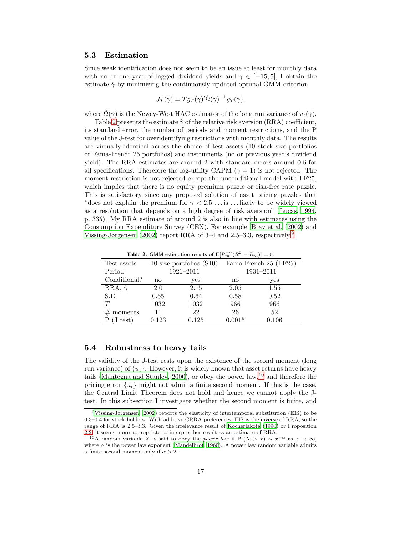#### 5.3 Estimation

Since weak identification does not seem to be an issue at least for monthly data with no or one year of lagged dividend yields and  $\gamma \in [-15, 5]$ , I obtain the estimate  $\hat{\gamma}$  by minimizing the continuously updated optimal GMM criterion

$$
J_T(\gamma) = Tg_T(\gamma)'\hat{\Omega}(\gamma)^{-1}g_T(\gamma),
$$

where  $\Omega(\gamma)$  is the Newey-West HAC estimator of the long run variance of  $u_t(\gamma)$ .

Table [2](#page-16-0) presents the estimate  $\hat{\gamma}$  of the relative risk aversion (RRA) coefficient, its standard error, the number of periods and moment restrictions, and the P value of the J-test for overidentifying restrictions with monthly data. The results are virtually identical across the choice of test assets (10 stock size portfolios or Fama-French 25 portfolios) and instruments (no or previous year's dividend yield). The RRA estimates are around 2 with standard errors around 0.6 for all specifications. Therefore the log-utility CAPM ( $\gamma = 1$ ) is not rejected. The moment restriction is not rejected except the unconditional model with FF25, which implies that there is no equity premium puzzle or risk-free rate puzzle. This is satisfactory since any proposed solution of asset pricing puzzles that "does not explain the premium for  $\gamma < 2.5$ ... is ... likely to be widely viewed as a resolution that depends on a high degree of risk aversion" [\(Lucas, 1994,](#page-27-7) p. 335). My RRA estimate of around 2 is also in line with estimates using the Consumption Expenditure Survey (CEX). For example, [Brav et al. \(2002](#page-25-4)) and [Vissing-Jørgensen \(2002\)](#page-29-10) report RRA of 3–4 and 2.5–3.3, respectively.[9](#page-16-1)

<span id="page-16-0"></span>**Table 2.** GMM estimation results of  $E[R_m^{-\gamma}(R^k - R_m)] = 0$ .

| Test assets         | 10 size portfolios $(S10)$ |       | Fama-French 25 (FF25) |       |
|---------------------|----------------------------|-------|-----------------------|-------|
| Period              | 1926-2011                  |       | 1931-2011             |       |
| Conditional?        | no                         | yes   | no                    | yes   |
| RRA, $\hat{\gamma}$ | 2.0                        | 2.15  | 2.05                  | 1.55  |
| S.E.                | 0.65                       | 0.64  | 0.58                  | 0.52  |
| T                   | 1032                       | 1032  | 966                   | 966   |
| $#$ moments         | 11                         | 22    | 26                    | 52    |
| $(J \text{ test})$  | 0.123                      | 0.125 | 0.0015                | 0.106 |

#### 5.4 Robustness to heavy tails

The validity of the J-test rests upon the existence of the second moment (long run variance) of  $\{u_t\}$ . However, it is widely known that asset returns have heavy tails [\(Mantegna and Stanley](#page-28-9), [2000](#page-28-9)), or obey the power law,<sup>[10](#page-16-2)</sup> and therefore the pricing error  $\{u_t\}$  might not admit a finite second moment. If this is the case, the Central Limit Theorem does not hold and hence we cannot apply the Jtest. In this subsection I investigate whether the second moment is finite, and

<span id="page-16-1"></span><sup>9</sup>[Vissing-Jørgensen \(2002](#page-29-10)) reports the elasticity of intertemporal substitution (EIS) to be 0.3–0.4 for stock holders. With additive CRRA preferences, EIS is the inverse of RRA, so the range of RRA is 2.5–3.3. Given the irrelevance result of [Kocherlakota \(1990\)](#page-27-4) or Proposition [2.2,](#page-7-2) it seems more appropriate to interpret her result as an estimate of RRA.

<span id="page-16-2"></span><sup>&</sup>lt;sup>10</sup>A random variable X is said to obey the *power law* if  $Pr(X > x) \sim x^{-\alpha}$  as  $x \to \infty$ , where  $\alpha$  is the power law exponent [\(Mandelbrot, 1960](#page-28-10)). A power law random variable admits a finite second moment only if  $\alpha > 2$ .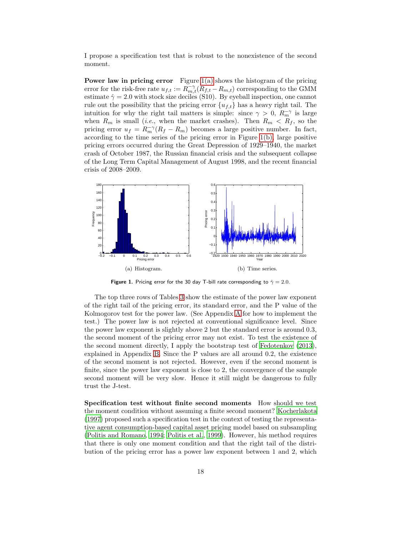I propose a specification test that is robust to the nonexistence of the second moment.

**Power law in pricing error** Figure  $1(a)$  shows the histogram of the pricing error for the risk-free rate  $u_{f,t} := R_{m,t}^{-\gamma} (R_{f,t} - R_{m,t})$  corresponding to the GMM estimate  $\hat{\gamma} = 2.0$  with stock size deciles (S10). By eyeball inspection, one cannot rule out the possibility that the pricing error  ${u_{f,t}}$  has a heavy right tail. The intuition for why the right tail matters is simple: since  $\gamma > 0$ ,  $R_m^{-\gamma}$  is large when  $R_m$  is small (*i.e.*, when the market crashes). Then  $R_m < R_f$ , so the pricing error  $u_f = R_m^{-\gamma} (R_f - R_m)$  becomes a large positive number. In fact, according to the time series of the pricing error in Figure [1\(b\),](#page-17-1) large positive pricing errors occurred during the Great Depression of 1929–1940, the market crash of October 1987, the Russian financial crisis and the subsequent collapse of the Long Term Capital Management of August 1998, and the recent financial crisis of 2008–2009.

<span id="page-17-0"></span>

<span id="page-17-1"></span>Figure 1. Pricing error for the 30 day T-bill rate corresponding to  $\hat{\gamma} = 2.0$ .

The top three rows of Tables [3](#page-18-0) show the estimate of the power law exponent of the right tail of the pricing error, its standard error, and the P value of the Kolmogorov test for the power law. (See Appendix [A](#page-24-0) for how to implement the test.) The power law is not rejected at conventional significance level. Since the power law exponent is slightly above 2 but the standard error is around 0.3, the second moment of the pricing error may not exist. To test the existence of the second moment directly, I apply the bootstrap test of [Fedotenkov \(2013\)](#page-27-8), explained in Appendix [B.](#page-24-1) Since the P values are all around 0.2, the existence of the second moment is not rejected. However, even if the second moment is finite, since the power law exponent is close to 2, the convergence of the sample second moment will be very slow. Hence it still might be dangerous to fully trust the J-test.

Specification test without finite second moments How should we test the moment condition without assuming a finite second moment? [Kocherlakota](#page-27-9) [\(1997\)](#page-27-9) proposed such a specification test in the context of testing the representative agent consumption-based capital asset pricing model based on subsampling [\(Politis and Romano](#page-28-11), [1994;](#page-28-11) [Politis et al., 1999\)](#page-28-12). However, his method requires that there is only one moment condition and that the right tail of the distribution of the pricing error has a power law exponent between 1 and 2, which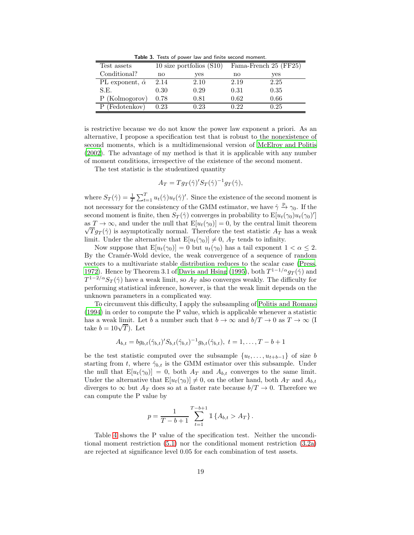<span id="page-18-0"></span>Table 3. Tests of power law and finite second moment.

| Test assets                 | 10 size portfolios $(S10)$ |      | Fama-French 25 (FF25) |      |
|-----------------------------|----------------------------|------|-----------------------|------|
| Conditional?                | no                         | yes  | no                    | yes  |
| PL exponent, $\hat{\alpha}$ | 2.14                       | 2.10 | 2.19                  | 2.25 |
| S.E.                        | 0.30                       | 0.29 | 0.31                  | 0.35 |
| P (Kolmogorov)              | 0.78                       | 0.81 | 0.62                  | 0.66 |
| Fedotenkov)                 | 0.23                       | 0.23 | Ո 22                  | 0.25 |

is restrictive because we do not know the power law exponent a priori. As an alternative, I propose a specification test that is robust to the nonexistence of second moments, which is a multidimensional version of [McElroy and Politis](#page-28-13) [\(2002\)](#page-28-13). The advantage of my method is that it is applicable with any number of moment conditions, irrespective of the existence of the second moment.

The test statistic is the studentized quantity

$$
A_T = Tg_T(\hat{\gamma})' S_T(\hat{\gamma})^{-1} g_T(\hat{\gamma}),
$$

where  $S_T(\hat{\gamma}) = \frac{1}{T} \sum_{t=1}^T u_t(\hat{\gamma}) u_t(\hat{\gamma})'$ . Since the existence of the second moment is not necessary for the consistency of the GMM estimator, we have  $\hat{\gamma} \stackrel{p}{\rightarrow} \gamma_0$ . If the second moment is finite, then  $S_T(\hat{\gamma})$  converges in probability to  $\mathbb{E}[u_t(\gamma_0)u_t(\gamma_0)']$ as  $T \to \infty$ , and under the null that  $E[u_t(\gamma_0)] = 0$ , by the central limit theorem  $\sqrt{T}g_T(\hat{\gamma})$  is asymptotically normal. Therefore the test statistic  $A_T$  has a weak limit. Under the alternative that  $E[u_t(\gamma_0)] \neq 0$ ,  $A_T$  tends to infinity.

Now suppose that  $E[u_t(\gamma_0)] = 0$  but  $u_t(\gamma_0)$  has a tail exponent  $1 < \alpha \leq 2$ . By the Cramér-Wold device, the weak convergence of a sequence of random vectors to a multivariate stable distribution reduces to the scalar case [\(Press,](#page-28-14) [1972\)](#page-28-14). Hence by Theorem 3.1 of [Davis and Hsing \(1995\)](#page-26-8), both  $T^{1-1/\alpha}g_T(\hat{\gamma})$  and  $T^{1-2/\alpha}S_T(\hat{\gamma})$  have a weak limit, so  $A_T$  also converges weakly. The difficulty for performing statistical inference, however, is that the weak limit depends on the unknown parameters in a complicated way.

To circumvent this difficulty, I apply the subsampling of [Politis and Romano](#page-28-11) [\(1994\)](#page-28-11) in order to compute the P value, which is applicable whenever a statistic has a weak limit. Let b a number such that  $b \to \infty$  and  $b/T \to 0$  as  $T \to \infty$  (I take  $b = 10\sqrt{T}$ ). Let

$$
A_{b,t} = bg_{b,t}(\hat{\gamma}_{b,t})' S_{b,t}(\hat{\gamma}_{b,t})^{-1} g_{b,t}(\hat{\gamma}_{b,t}), t = 1, \ldots, T - b + 1
$$

be the test statistic computed over the subsample  $\{u_t, \ldots, u_{t+b-1}\}$  of size b starting from t, where  $\hat{\gamma}_{b,t}$  is the GMM estimator over this subsample. Under the null that  $E[u_t(\gamma_0)] = 0$ , both  $A_T$  and  $A_{b,t}$  converges to the same limit. Under the alternative that  $E[u_t(\gamma_0)] \neq 0$ , on the other hand, both  $A_T$  and  $A_{b,t}$ diverges to  $\infty$  but  $A_T$  does so at a faster rate because  $b/T \to 0$ . Therefore we can compute the P value by

$$
p = \frac{1}{T - b + 1} \sum_{t=1}^{T-b+1} \mathbb{1} \{ A_{b,t} > A_T \}.
$$

Table [4](#page-19-1) shows the P value of the specification test. Neither the unconditional moment restriction [\(5.1\)](#page-14-1) nor the conditional moment restriction [\(3.2a\)](#page-9-0) are rejected at significance level 0.05 for each combination of test assets.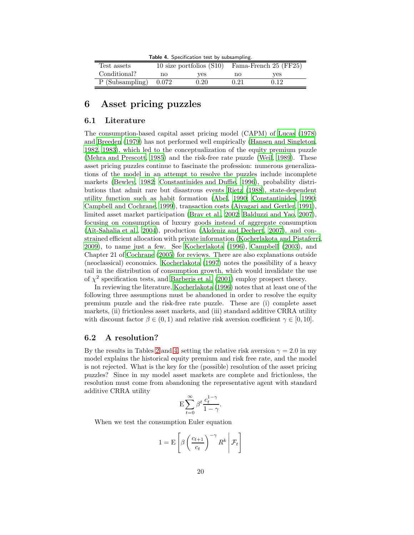<span id="page-19-1"></span>Table 4. Specification test by subsampling

| Test assets     | 10 size portfolios $(S10)$ |            | Fama-French 25 (FF25) |      |  |
|-----------------|----------------------------|------------|-----------------------|------|--|
| Conditional?    | no                         | ves        | no                    | ves  |  |
| P (Subsampling) | 0.072                      | $\rm 0.20$ | 0.21                  | 0.12 |  |

## <span id="page-19-0"></span>6 Asset pricing puzzles

#### 6.1 Literature

The consumption-based capital asset pricing model (CAPM) of [Lucas \(1978\)](#page-27-2) and [Breeden \(1979](#page-25-5)) has not performed well empirically [\(Hansen and](#page-27-10) Singleton, [1982,](#page-27-10) [1983\)](#page-27-11), which led to the conceptualization of the equity premium puzzle [\(Mehra and Prescott, 1985\)](#page-28-4) and the risk-free rate puzzle [\(Weil,](#page-29-11) [1989\)](#page-29-11). These asset pricing puzzles continue to fascinate the profession: numerous generalizations of the model in an attempt to resolve the puzzles include incomplete markets [\(Bewley, 1982;](#page-25-2) [Constantinides and Duffie, 1996\)](#page-26-9), probability distributions that admit rare but disastrous events [Rietz \(1988\)](#page-28-15), state-dependent utility function such as habit formation [\(Abel, 1990;](#page-25-1) [Constantinides, 1990;](#page-26-10) [Campbell and Cochrane](#page-26-11), [1999\)](#page-26-11), transaction costs [\(Aiyagari and](#page-25-6) Gertler, [1991\)](#page-25-6), limited asset market participation [\(Brav et al., 2002;](#page-25-4) [Balduzzi and Yao, 2007\)](#page-25-7), focusing on consumption of luxury goods instead of aggregate consumption (Aït-Sahalia et al., [2004\)](#page-25-8), production [\(Akdeniz and Dechert](#page-25-9), [2007\)](#page-25-9), and constrained efficient allocation with private information [\(Kocherlakota and Pistaferri,](#page-27-12) [2009\)](#page-27-12), to name just a few. See [Kocherlakota \(1996](#page-27-13)), [Campbell \(2003\)](#page-26-12), and Chapter 21 of [Cochrane \(2005\)](#page-26-0) for reviews. There are also explanations outside (neoclassical) economics. [Kocherlakota \(1997\)](#page-27-9) notes the possibility of a heavy tail in the distribution of consumption growth, which would invalidate the use of  $\chi^2$  specification tests, and [Barberis et al. \(2001\)](#page-25-10) employ prospect theory.

In reviewing the literature, [Kocherlakota \(1996\)](#page-27-13) notes that at least one of the following three assumptions must be abandoned in order to resolve the equity premium puzzle and the risk-free rate puzzle. These are (i) complete asset markets, (ii) frictionless asset markets, and (iii) standard additive CRRA utility with discount factor  $\beta \in (0, 1)$  and relative risk aversion coefficient  $\gamma \in [0, 10]$ .

### 6.2 A resolution?

By the results in Tables [2](#page-16-0) and [4,](#page-19-1) setting the relative risk aversion  $\gamma = 2.0$  in my model explains the historical equity premium and risk free rate, and the model is not rejected. What is the key for the (possible) resolution of the asset pricing puzzles? Since in my model asset markets are complete and frictionless, the resolution must come from abandoning the representative agent with standard additive CRRA utility

$$
\mathcal{E}\sum_{t=0}^{\infty}\beta^t\frac{c_t^{1-\gamma}}{1-\gamma}.
$$

When we test the consumption Euler equation

$$
1 = \mathbf{E}\left[\beta \left(\frac{c_{t+1}}{c_t}\right)^{-\gamma} R^k \middle| \mathcal{F}_t\right]
$$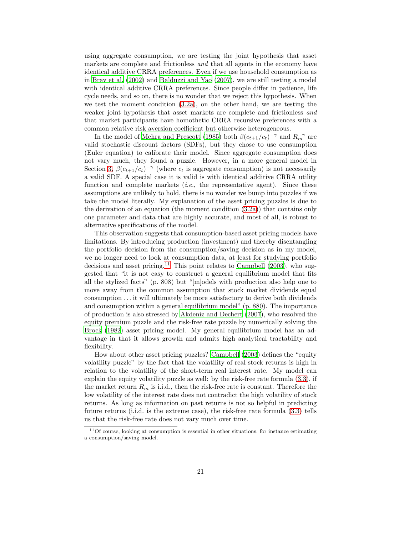using aggregate consumption, we are testing the joint hypothesis that asset markets are complete and frictionless and that all agents in the economy have identical additive CRRA preferences. Even if we use household consumption as in [Brav et al. \(2002\)](#page-25-4) and [Balduzzi and Yao \(2007\)](#page-25-7), we are still testing a model with identical additive CRRA preferences. Since people differ in patience, life cycle needs, and so on, there is no wonder that we reject this hypothesis. When we test the moment condition [\(3.2a\)](#page-9-0), on the other hand, we are testing the weaker joint hypothesis that asset markets are complete and frictionless and that market participants have homothetic CRRA recursive preferences with a common relative risk aversion coefficient but otherwise heterogeneous.

In the model of [Mehra and Prescott \(1985\)](#page-28-4) both  $\beta(c_{t+1}/c_t)^{-\gamma}$  and  $R_m^{-\gamma}$  are valid stochastic discount factors (SDFs), but they chose to use consumption (Euler equation) to calibrate their model. Since aggregate consumption does not vary much, they found a puzzle. However, in a more general model in Section [3,](#page-7-0)  $\beta(c_{t+1}/c_t)^{-\gamma}$  (where  $c_t$  is aggregate consumption) is not necessarily a valid SDF. A special case it is valid is with identical additive CRRA utility function and complete markets  $(i.e.,$  the representative agent). Since these assumptions are unlikely to hold, there is no wonder we bump into puzzles if we take the model literally. My explanation of the asset pricing puzzles is due to the derivation of an equation (the moment condition [\(3.2a\)](#page-9-0)) that contains only one parameter and data that are highly accurate, and most of all, is robust to alternative specifications of the model.

This observation suggests that consumption-based asset pricing models have limitations. By introducing production (investment) and thereby disentangling the portfolio decision from the consumption/saving decision as in my model, we no longer need to look at consumption data, at least for studying portfolio decisions and asset pricing.<sup>[11](#page-20-0)</sup> This point relates to [Campbell \(2003\)](#page-26-12), who suggested that "it is not easy to construct a general equilibrium model that fits all the stylized facts" (p. 808) but "[m]odels with production also help one to move away from the common assumption that stock market dividends equal consumption . . . it will ultimately be more satisfactory to derive both dividends and consumption within a general equilibrium model" (p. 880). The importance of production is also stressed by [Akdeniz and Dechert \(2007\)](#page-25-9), who resolved the equity premium puzzle and the risk-free rate puzzle by numerically solving the [Brock \(1982\)](#page-25-11) asset pricing model. My general equilibrium model has an advantage in that it allows growth and admits high analytical tractability and flexibility.

How about other asset pricing puzzles? [Campbell \(2003\)](#page-26-12) defines the "equity volatility puzzle" by the fact that the volatility of real stock returns is high in relation to the volatility of the short-term real interest rate. My model can explain the equity volatility puzzle as well: by the risk-free rate formula [\(3.3\)](#page-9-2), if the market return  $R_m$  is i.i.d., then the risk-free rate is constant. Therefore the low volatility of the interest rate does not contradict the high volatility of stock returns. As long as information on past returns is not so helpful in predicting future returns (i.i.d. is the extreme case), the risk-free rate formula [\(3.3\)](#page-9-2) tells us that the risk-free rate does not vary much over time.

<span id="page-20-0"></span><sup>&</sup>lt;sup>11</sup>Of course, looking at consumption is essential in other situations, for instance estimating a consumption/saving model.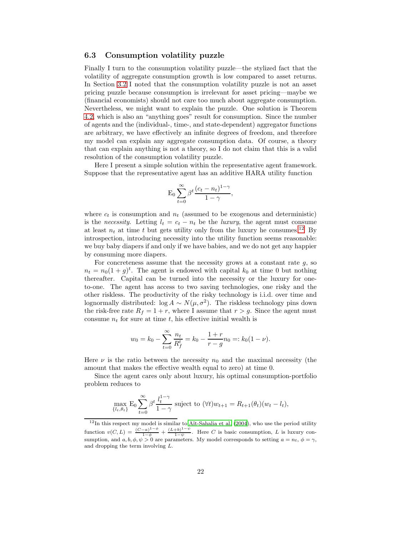### 6.3 Consumption volatility puzzle

Finally I turn to the consumption volatility puzzle—the stylized fact that the volatility of aggregate consumption growth is low compared to asset returns. In Section [3.2](#page-8-3) I noted that the consumption volatility puzzle is not an asset pricing puzzle because consumption is irrelevant for asset pricing—maybe we (financial economists) should not care too much about aggregate consumption. Nevertheless, we might want to explain the puzzle. One solution is Theorem [4.2,](#page-12-3) which is also an "anything goes" result for consumption. Since the number of agents and the (individual-, time-, and state-dependent) aggregator functions are arbitrary, we have effectively an infinite degrees of freedom, and therefore my model can explain any aggregate consumption data. Of course, a theory that can explain anything is not a theory, so I do not claim that this is a valid resolution of the consumption volatility puzzle.

Here I present a simple solution within the representative agent framework. Suppose that the representative agent has an additive HARA utility function

$$
\mathcal{E}_0 \sum_{t=0}^{\infty} \beta^t \frac{(c_t - n_t)^{1-\gamma}}{1-\gamma},
$$

where  $c_t$  is consumption and  $n_t$  (assumed to be exogenous and deterministic) is the necessity. Letting  $l_t = c_t - n_t$  be the luxury, the agent must consume at least  $n_t$  at time t but gets utility only from the luxury he consumes.<sup>[12](#page-21-0)</sup> By introspection, introducing necessity into the utility function seems reasonable: we buy baby diapers if and only if we have babies, and we do not get any happier by consuming more diapers.

For concreteness assume that the necessity grows at a constant rate  $g$ , so  $n_t = n_0(1+g)^t$ . The agent is endowed with capital  $k_0$  at time 0 but nothing thereafter. Capital can be turned into the necessity or the luxury for oneto-one. The agent has access to two saving technologies, one risky and the other riskless. The productivity of the risky technology is i.i.d. over time and lognormally distributed:  $\log A \sim N(\mu, \sigma^2)$ . The riskless technology pins down the risk-free rate  $R_f = 1 + r$ , where I assume that  $r > g$ . Since the agent must consume  $n_t$  for sure at time t, his effective initial wealth is

$$
w_0 = k_0 - \sum_{t=0}^{\infty} \frac{n_t}{R_f^t} = k_0 - \frac{1+r}{r-g} n_0 =: k_0(1-\nu).
$$

Here  $\nu$  is the ratio between the necessity  $n_0$  and the maximal necessity (the amount that makes the effective wealth equal to zero) at time 0.

Since the agent cares only about luxury, his optimal consumption-portfolio problem reduces to

$$
\max_{\{l_t, \theta_t\}} \mathcal{E}_0 \sum_{t=0}^{\infty} \beta^t \frac{l_t^{1-\gamma}}{1-\gamma}
$$
 subject to  $(\forall t) w_{t+1} = R_{t+1}(\theta_t)(w_t - l_t),$ 

<span id="page-21-0"></span> $12$ In this respect my model is similar to Aït-Sahalia et al. (2004), who use the period utility function  $v(C, L) = \frac{(C-a)^{1-\phi}}{1-\phi} + \frac{(L+b)^{1-\psi}}{1-\psi}$  $\frac{1-\theta}{1-\psi}$ . Here C is basic consumption, L is luxury consumption, and  $a, b, \phi, \psi > 0$  are parameters. My model corresponds to setting  $a = n_t, \phi = \gamma$ , and dropping the term involving L.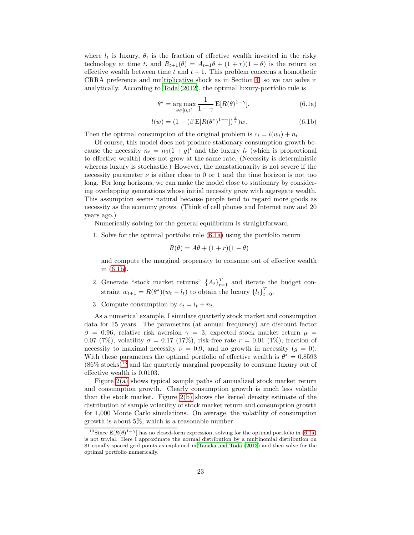where  $l_t$  is luxury,  $\theta_t$  is the fraction of effective wealth invested in the risky technology at time t, and  $R_{t+1}(\theta) = A_{t+1}\theta + (1+r)(1-\theta)$  is the return on effective wealth between time t and  $t + 1$ . This problem concerns a homothetic CRRA preference and multiplicative shock as in Section [4,](#page-11-0) so we can solve it analytically. According to [Toda \(2012\)](#page-29-4), the optimal luxury-portfolio rule is

<span id="page-22-1"></span><span id="page-22-0"></span>
$$
\theta^* = \underset{\theta \in [0,1]}{\arg \max} \frac{1}{1-\gamma} \mathbf{E}[R(\theta)^{1-\gamma}], \tag{6.1a}
$$

$$
l(w) = (1 - (\beta \, \mathbb{E}[R(\theta^*)^{1-\gamma}])^{\frac{1}{\gamma}})w.
$$
 (6.1b)

Then the optimal consumption of the original problem is  $c_t = l(w_t) + n_t$ .

Of course, this model does not produce stationary consumption growth because the necessity  $n_t = n_0(1+g)^t$  and the luxury  $l_t$  (which is proportional to effective wealth) does not grow at the same rate. (Necessity is deterministic whereas luxury is stochastic.) However, the nonstationarity is not severe if the necessity parameter  $\nu$  is either close to 0 or 1 and the time horizon is not too long. For long horizons, we can make the model close to stationary by considering overlapping generations whose initial necessity grow with aggregate wealth. This assumption seems natural because people tend to regard more goods as necessity as the economy grows. (Think of cell phones and Internet now and 20 years ago.)

Numerically solving for the general equilibrium is straightforward.

1. Solve for the optimal portfolio rule [\(6.1a\)](#page-22-0) using the portfolio return

$$
R(\theta) = A\theta + (1+r)(1-\theta)
$$

and compute the marginal propensity to consume out of effective wealth in [\(6.1b\)](#page-22-1).

- 2. Generate "stock market returns"  $\{A_t\}_{t=1}^T$  and iterate the budget constraint  $w_{t+1} = R(\theta^*)(w_t - l_t)$  to obtain the luxury  $\{l_t\}_{t=0}^T$ .
- 3. Compute consumption by  $c_t = l_t + n_t$ .

As a numerical example, I simulate quarterly stock market and consumption data for 15 years. The parameters (at annual frequency) are discount factor β = 0.96, relative risk aversion  $\gamma = 3$ , expected stock market return  $\mu =$ 0.07 (7%), volatility  $\sigma = 0.17$  (17%), risk-free rate  $r = 0.01$  (1%), fraction of necessity to maximal necessity  $\nu = 0.9$ , and no growth in necessity  $(q = 0)$ . With these parameters the optimal portfolio of effective wealth is  $\theta^* = 0.8593$  $(86\% \text{ stocks})^{13}$  $(86\% \text{ stocks})^{13}$  $(86\% \text{ stocks})^{13}$  and the quarterly marginal propensity to consume luxury out of effective wealth is 0.0103.

Figure [2\(a\)](#page-23-0) shows typical sample paths of annualized stock market return and consumption growth. Clearly consumption growth is much less volatile than the stock market. Figure [2\(b\)](#page-23-1) shows the kernel density estimate of the distribution of sample volatility of stock market return and consumption growth for 1,000 Monte Carlo simulations. On average, the volatility of consumption growth is about 5%, which is a reasonable number.

<span id="page-22-2"></span><sup>&</sup>lt;sup>13</sup>Since  $E[R(\theta)^{1-\gamma}]$  has no closed-form expression, solving for the optimal portfolio in [\(6.1a\)](#page-22-0) is not trivial. Here I approximate the normal distribution by a multinomial distribution on 81 equally spaced grid points as explained in [Tanaka and Toda](#page-29-12) [\(2013](#page-29-12)) and then solve for the optimal portfolio numerically.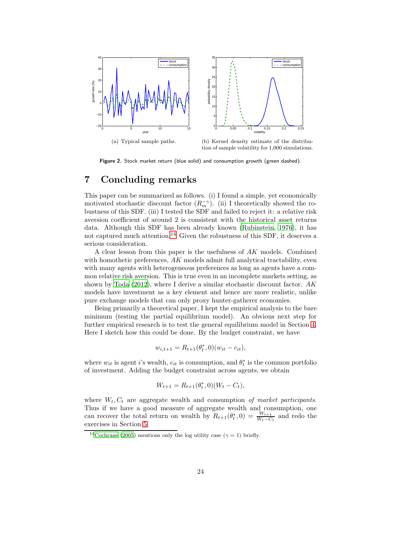<span id="page-23-0"></span>

<span id="page-23-1"></span>Figure 2. Stock market return (blue solid) and consumption growth (green dashed).

# 7 Concluding remarks

This paper can be summarized as follows. (i) I found a simple, yet economically motivated stochastic discount factor  $(R_m^{-\gamma})$ . (ii) I theoretically showed the robustness of this SDF. (iii) I tested the SDF and failed to reject it: a relative risk aversion coefficient of around 2 is consistent with the historical asset returns data. Although this SDF has been already known [\(Rubinstein](#page-29-3), [1976](#page-29-3)), it has not captured much attention.<sup>[14](#page-23-2)</sup> Given the robustness of this SDF, it deserves a serious consideration.

A clear lesson from this paper is the usefulness of AK models. Combined with homothetic preferences,  $AK$  models admit full analytical tractability, even with many agents with heterogeneous preferences as long as agents have a common relative risk aversion. This is true even in an incomplete markets setting, as shown by Toda  $(2012)$ , where I derive a similar stochastic discount factor. AK models have investment as a key element and hence are more realistic, unlike pure exchange models that can only proxy hunter-gatherer economies.

Being primarily a theoretical paper, I kept the empirical analysis to the bare minimum (testing the partial equilibrium model). An obvious next step for further empirical research is to test the general equilibrium model in Section [4.](#page-11-0) Here I sketch how this could be done. By the budget constraint, we have

$$
w_{i,t+1} = R_{t+1}(\theta_t^*, 0)(w_{it} - c_{it}),
$$

where  $w_{it}$  is agent i's wealth,  $c_{it}$  is consumption, and  $\theta_t^*$  is the common portfolio of investment. Adding the budget constraint across agents, we obtain

$$
W_{t+1} = R_{t+1}(\theta_t^*, 0)(W_t - C_t),
$$

where  $W_t, C_t$  are aggregate wealth and consumption of market participants. Thus if we have a good measure of aggregate wealth and consumption, one can recover the total return on wealth by  $R_{t+1}(\theta_t^*,0) = \frac{W_{t+1}}{W_t - C_t}$  and redo the exercises in Section [5.](#page-14-0)

<span id="page-23-2"></span><sup>&</sup>lt;sup>14</sup>[Cochrane \(2005\)](#page-26-0) mentions only the log utility case ( $\gamma = 1$ ) briefly.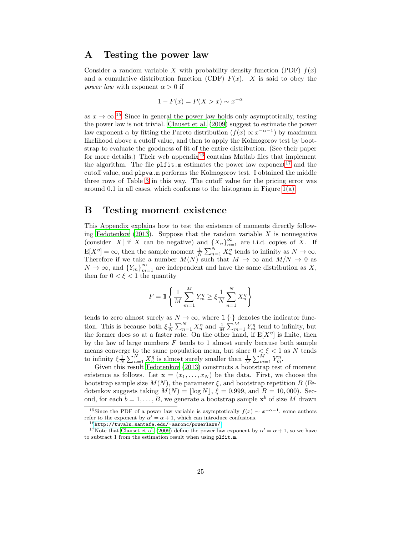## <span id="page-24-0"></span>A Testing the power law

Consider a random variable X with probability density function (PDF)  $f(x)$ and a cumulative distribution function (CDF)  $F(x)$ . X is said to obey the *power law* with exponent  $\alpha > 0$  if

$$
1 - F(x) = P(X > x) \sim x^{-\alpha}
$$

as  $x \to \infty$ .<sup>[15](#page-24-2)</sup> Since in general the power law holds only asymptotically, testing the power law is not trivial. [Clauset et al. \(2009](#page-26-13)) suggest to estimate the power law exponent  $\alpha$  by fitting the Pareto distribution  $(f(x) \propto x^{-\alpha-1})$  by maximum likelihood above a cutoff value, and then to apply the Kolmogorov test by bootstrap to evaluate the goodness of fit of the entire distribution. (See their paper for more details.) Their web appendix<sup>[16](#page-24-3)</sup> contains Matlab files that implement the algorithm. The file  $\nu$ **Ifit.**m estimates the power law exponent<sup>[17](#page-24-4)</sup> and the cutoff value, and plpva.m performs the Kolmogorov test. I obtained the middle three rows of Table [3](#page-18-0) in this way. The cutoff value for the pricing error was around 0.1 in all cases, which conforms to the histogram in Figure [1\(a\).](#page-17-0)

### <span id="page-24-1"></span>B Testing moment existence

This Appendix explains how to test the existence of moments directly follow-ing [Fedotenkov \(2013](#page-27-8)). Suppose that the random variable  $X$  is nonnegative (consider |X| if X can be negative) and  $\{X_n\}_{n=1}^{\infty}$  are i.i.d. copies of X. If  $E[X^{\eta}] = \infty$ , then the sample moment  $\frac{1}{N} \sum_{n=1}^{N} X_n^{\eta}$  tends to infinity as  $N \to \infty$ . Therefore if we take a number  $M(N)$  such that  $M \to \infty$  and  $M/N \to 0$  as  $N \to \infty$ , and  ${Y_m}_{m=1}^{\infty}$  are independent and have the same distribution as X, then for  $0 < \xi < 1$  the quantity

$$
F = \mathbb{1}\left\{\frac{1}{M}\sum_{m=1}^{M}Y_m^n \ge \xi \frac{1}{N}\sum_{n=1}^{N}X_n^{\eta}\right\}
$$

tends to zero almost surely as  $N \to \infty$ , where  $\mathbb{1}\{\cdot\}$  denotes the indicator function. This is because both  $\xi \frac{1}{N} \sum_{n=1}^{N} X_n^{\eta}$  and  $\frac{1}{M} \sum_{m=1}^{M} Y_m^{\eta}$  tend to infinity, but the former does so at a faster rate. On the other hand, if  $E[X^{\eta}]$  is finite, then by the law of large numbers  $F$  tends to 1 almost surely because both sample means converge to the same population mean, but since  $0 \leq \xi \leq 1$  as N tends to infinity  $\xi \frac{1}{N} \sum_{n=1}^{N} X_n^{\eta}$  is almost surely smaller than  $\frac{1}{M} \sum_{m=1}^{M} Y_m^{\eta}$ .

Given this result [Fedotenkov \(2013\)](#page-27-8) constructs a bootstrap test of moment existence as follows. Let  $\mathbf{x} = (x_1, \ldots, x_N)$  be the data. First, we choose the bootstrap sample size  $M(N)$ , the parameter  $\xi$ , and bootstrap repetition B (Fedotenkov suggests taking  $M(N) = |\log N|, \xi = 0.999, \text{ and } B = 10,000$ . Second, for each  $b = 1, ..., B$ , we generate a bootstrap sample  $\mathbf{x}^b$  of size M drawn

<sup>&</sup>lt;sup>15</sup>Since the PDF of a power law variable is asymptotically  $f(x) \sim x^{-\alpha-1}$ , some authors refer to the exponent by  $\alpha' = \alpha + 1$ , which can introduce confusions.

<span id="page-24-3"></span><span id="page-24-2"></span> $^{16}$ <http://tuvalu.santafe.edu/~aaronc/powerlaws/>

<span id="page-24-4"></span><sup>&</sup>lt;sup>17</sup>Note that [Clauset et al. \(2009](#page-26-13)) define the power law exponent by  $\alpha' = \alpha + 1$ , so we have to subtract 1 from the estimation result when using plfit.m.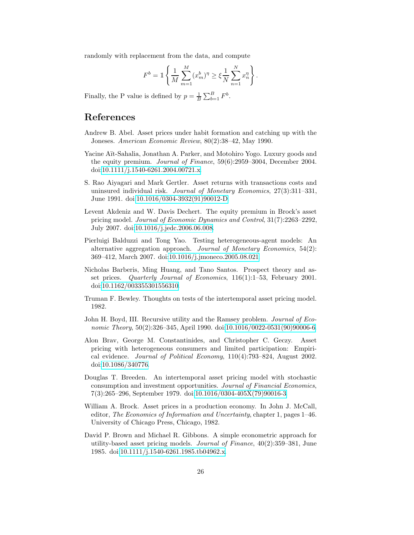randomly with replacement from the data, and compute

$$
F^{b} = \mathbb{1} \left\{ \frac{1}{M} \sum_{m=1}^{M} (x_{m}^{b})^{\eta} \ge \xi \frac{1}{N} \sum_{n=1}^{N} x_{n}^{\eta} \right\}.
$$

Finally, the P value is defined by  $p = \frac{1}{B} \sum_{b=1}^{B} F^b$ .

## References

- <span id="page-25-1"></span>Andrew B. Abel. Asset prices under habit formation and catching up with the Joneses. American Economic Review, 80(2):38–42, May 1990.
- <span id="page-25-8"></span>Yacine Aït-Sahalia, Jonathan A. Parker, and Motohiro Yogo. Luxury goods and the equity premium. Journal of Finance, 59(6):2959–3004, December 2004. doi[:10.1111/j.1540-6261.2004.00721.x.](http://dx.doi.org/10.1111/j.1540-6261.2004.00721.x)
- <span id="page-25-6"></span>S. Rao Aiyagari and Mark Gertler. Asset returns with transactions costs and uninsured individual risk. Journal of Monetary Economics, 27(3):311–331, June 1991. doi[:10.1016/0304-3932\(91\)90012-D.](http://dx.doi.org/10.1016/0304-3932(91)90012-D)
- <span id="page-25-9"></span>Levent Akdeniz and W. Davis Dechert. The equity premium in Brock's asset pricing model. Journal of Economic Dynamics and Control, 31(7):2263–2292, July 2007. doi[:10.1016/j.jedc.2006.06.008.](http://dx.doi.org/10.1016/j.jedc.2006.06.008)
- <span id="page-25-7"></span>Pierluigi Balduzzi and Tong Yao. Testing heterogeneous-agent models: An alternative aggregation approach. Journal of Monetary Economics, 54(2): 369–412, March 2007. doi[:10.1016/j.jmoneco.2005.08.021.](http://dx.doi.org/10.1016/j.jmoneco.2005.08.021)
- <span id="page-25-10"></span>Nicholas Barberis, Ming Huang, and Tano Santos. Prospect theory and asset prices. Quarterly Journal of Economics, 116(1):1–53, February 2001. doi[:10.1162/003355301556310.](http://dx.doi.org/10.1162/003355301556310)
- <span id="page-25-2"></span>Truman F. Bewley. Thoughts on tests of the intertemporal asset pricing model. 1982.
- <span id="page-25-0"></span>John H. Boyd, III. Recursive utility and the Ramsey problem. Journal of Eco-nomic Theory, 50(2):326–345, April 1990. doi[:10.1016/0022-0531\(90\)90006-6.](http://dx.doi.org/10.1016/0022-0531(90)90006-6)
- <span id="page-25-4"></span>Alon Brav, George M. Constantinides, and Christopher C. Geczy. Asset pricing with heterogeneous consumers and limited participation: Empirical evidence. Journal of Political Economy, 110(4):793–824, August 2002. doi[:10.1086/340776.](http://dx.doi.org/10.1086/340776)
- <span id="page-25-5"></span>Douglas T. Breeden. An intertemporal asset pricing model with stochastic consumption and investment opportunities. Journal of Financial Economics, 7(3):265–296, September 1979. doi[:10.1016/0304-405X\(79\)90016-3.](http://dx.doi.org/10.1016/0304-405X(79)90016-3)
- <span id="page-25-11"></span>William A. Brock. Asset prices in a production economy. In John J. McCall, editor, The Economics of Information and Uncertainty, chapter 1, pages 1–46. University of Chicago Press, Chicago, 1982.
- <span id="page-25-3"></span>David P. Brown and Michael R. Gibbons. A simple econometric approach for utility-based asset pricing models. Journal of Finance,  $40(2):359-381$ , June 1985. doi[:10.1111/j.1540-6261.1985.tb04962.x.](http://dx.doi.org/10.1111/j.1540-6261.1985.tb04962.x)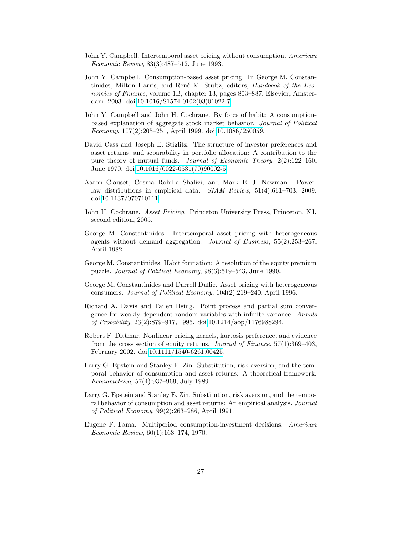- <span id="page-26-3"></span>John Y. Campbell. Intertemporal asset pricing without consumption. American Economic Review, 83(3):487–512, June 1993.
- <span id="page-26-12"></span>John Y. Campbell. Consumption-based asset pricing. In George M. Constantinides, Milton Harris, and René M. Stultz, editors, Handbook of the Economics of Finance, volume 1B, chapter 13, pages 803–887. Elsevier, Amsterdam, 2003. doi[:10.1016/S1574-0102\(03\)01022-7.](http://dx.doi.org/10.1016/S1574-0102(03)01022-7)
- <span id="page-26-11"></span>John Y. Campbell and John H. Cochrane. By force of habit: A consumptionbased explanation of aggregate stock market behavior. Journal of Political Economy, 107(2):205–251, April 1999. doi[:10.1086/250059.](http://dx.doi.org/10.1086/250059)
- <span id="page-26-4"></span>David Cass and Joseph E. Stiglitz. The structure of investor preferences and asset returns, and separability in portfolio allocation: A contribution to the pure theory of mutual funds. Journal of Economic Theory, 2(2):122–160, June 1970. doi[:10.1016/0022-0531\(70\)90002-5.](http://dx.doi.org/10.1016/0022-0531(70)90002-5)
- <span id="page-26-13"></span>Aaron Clauset, Cosma Rohilla Shalizi, and Mark E. J. Newman. Powerlaw distributions in empirical data. SIAM Review, 51(4):661–703, 2009. doi[:10.1137/070710111.](http://dx.doi.org/10.1137/070710111)
- <span id="page-26-0"></span>John H. Cochrane. Asset Pricing. Princeton University Press, Princeton, NJ, second edition, 2005.
- <span id="page-26-5"></span>George M. Constantinides. Intertemporal asset pricing with heterogeneous agents without demand aggregation. Journal of Business, 55(2):253–267, April 1982.
- <span id="page-26-10"></span>George M. Constantinides. Habit formation: A resolution of the equity premium puzzle. Journal of Political Economy, 98(3):519–543, June 1990.
- <span id="page-26-9"></span>George M. Constantinides and Darrell Duffie. Asset pricing with heterogeneous consumers. Journal of Political Economy, 104(2):219–240, April 1996.
- <span id="page-26-8"></span>Richard A. Davis and Tailen Hsing. Point process and partial sum convergence for weakly dependent random variables with infinite variance. Annals of Probability, 23(2):879–917, 1995. doi[:10.1214/aop/1176988294.](http://dx.doi.org/10.1214/aop/1176988294)
- <span id="page-26-7"></span>Robert F. Dittmar. Nonlinear pricing kernels, kurtosis preference, and evidence from the cross section of equity returns. Journal of Finance, 57(1):369–403, February 2002. doi[:10.1111/1540-6261.00425.](http://dx.doi.org/10.1111/1540-6261.00425)
- <span id="page-26-2"></span>Larry G. Epstein and Stanley E. Zin. Substitution, risk aversion, and the temporal behavior of consumption and asset returns: A theoretical framework. Econometrica, 57(4):937–969, July 1989.
- <span id="page-26-6"></span>Larry G. Epstein and Stanley E. Zin. Substitution, risk aversion, and the temporal behavior of consumption and asset returns: An empirical analysis. Journal of Political Economy, 99(2):263–286, April 1991.
- <span id="page-26-1"></span>Eugene F. Fama. Multiperiod consumption-investment decisions. American Economic Review, 60(1):163–174, 1970.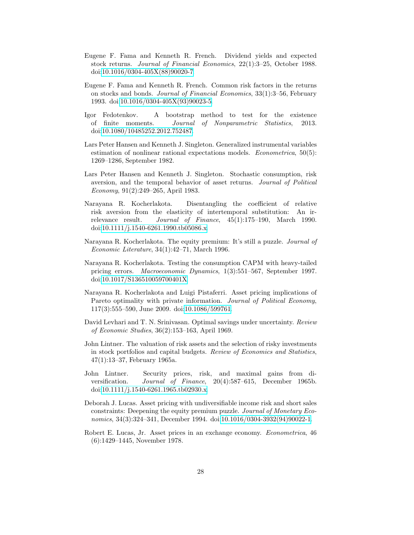- <span id="page-27-5"></span>Eugene F. Fama and Kenneth R. French. Dividend yields and expected stock returns. Journal of Financial Economics, 22(1):3–25, October 1988. doi[:10.1016/0304-405X\(88\)90020-7.](http://dx.doi.org/10.1016/0304-405X(88)90020-7)
- <span id="page-27-6"></span>Eugene F. Fama and Kenneth R. French. Common risk factors in the returns on stocks and bonds. Journal of Financial Economics, 33(1):3–56, February 1993. doi[:10.1016/0304-405X\(93\)90023-5.](http://dx.doi.org/10.1016/0304-405X(93)90023-5)
- <span id="page-27-8"></span>Igor Fedotenkov. A bootstrap method to test for the existence of finite moments. Journal of Nonparametric Statistics, 2013. doi[:10.1080/10485252.2012.752487.](http://dx.doi.org/10.1080/10485252.2012.752487)
- <span id="page-27-10"></span>Lars Peter Hansen and Kenneth J. Singleton. Generalized instrumental variables estimation of nonlinear rational expectations models. *Econometrica*, 50(5): 1269–1286, September 1982.
- <span id="page-27-11"></span>Lars Peter Hansen and Kenneth J. Singleton. Stochastic consumption, risk aversion, and the temporal behavior of asset returns. Journal of Political Economy, 91(2):249–265, April 1983.
- <span id="page-27-4"></span>Narayana R. Kocherlakota. Disentangling the coefficient of relative risk aversion from the elasticity of intertemporal substitution: An irrelevance result. Journal of Finance, 45(1):175–190, March 1990. doi[:10.1111/j.1540-6261.1990.tb05086.x.](http://dx.doi.org/10.1111/j.1540-6261.1990.tb05086.x)
- <span id="page-27-13"></span>Narayana R. Kocherlakota. The equity premium: It's still a puzzle. Journal of Economic Literature, 34(1):42–71, March 1996.
- <span id="page-27-9"></span>Narayana R. Kocherlakota. Testing the consumption CAPM with heavy-tailed pricing errors. Macroeconomic Dynamics, 1(3):551–567, September 1997. doi[:10.1017/S136510059700401X.](http://dx.doi.org/10.1017/S136510059700401X)
- <span id="page-27-12"></span>Narayana R. Kocherlakota and Luigi Pistaferri. Asset pricing implications of Pareto optimality with private information. Journal of Political Economy, 117(3):555–590, June 2009. doi[:10.1086/599761.](http://dx.doi.org/10.1086/599761)
- <span id="page-27-3"></span>David Levhari and T. N. Srinivasan. Optimal savings under uncertainty. Review of Economic Studies, 36(2):153–163, April 1969.
- <span id="page-27-0"></span>John Lintner. The valuation of risk assets and the selection of risky investments in stock portfolios and capital budgets. Review of Economics and Statistics, 47(1):13–37, February 1965a.
- <span id="page-27-1"></span>John Lintner. Security prices, risk, and maximal gains from diversification. Journal of Finance, 20(4):587–615, December 1965b. doi[:10.1111/j.1540-6261.1965.tb02930.x.](http://dx.doi.org/10.1111/j.1540-6261.1965.tb02930.x)
- <span id="page-27-7"></span>Deborah J. Lucas. Asset pricing with undiversifiable income risk and short sales constraints: Deepening the equity premium puzzle. Journal of Monetary Economics, 34(3):324–341, December 1994. doi[:10.1016/0304-3932\(94\)90022-1.](http://dx.doi.org/10.1016/0304-3932(94)90022-1)
- <span id="page-27-2"></span>Robert E. Lucas, Jr. Asset prices in an exchange economy. Econometrica, 46 (6):1429–1445, November 1978.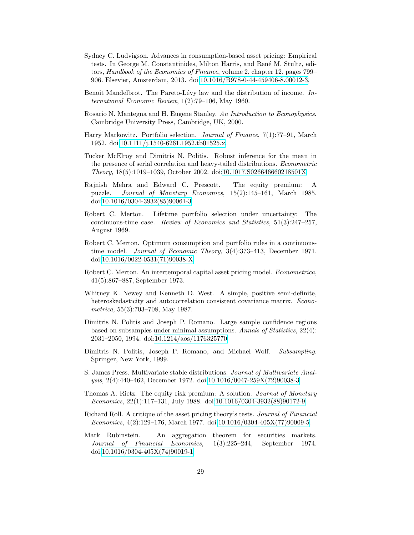- <span id="page-28-5"></span>Sydney C. Ludvigson. Advances in consumption-based asset pricing: Empirical tests. In George M. Constantinides, Milton Harris, and Ren´e M. Stultz, editors, Handbook of the Economics of Finance, volume 2, chapter 12, pages 799– 906. Elsevier, Amsterdam, 2013. doi[:10.1016/B978-0-44-459406-8.00012-3.](http://dx.doi.org/10.1016/B978-0-44-459406-8.00012-3)
- <span id="page-28-10"></span>Benoît Mandelbrot. The Pareto-Lévy law and the distribution of income. International Economic Review, 1(2):79–106, May 1960.
- <span id="page-28-9"></span>Rosario N. Mantegna and H. Eugene Stanley. An Introduction to Econophysics. Cambridge University Press, Cambridge, UK, 2000.
- <span id="page-28-0"></span>Harry Markowitz. Portfolio selection. Journal of Finance, 7(1):77–91, March 1952. doi[:10.1111/j.1540-6261.1952.tb01525.x.](http://dx.doi.org/10.1111/j.1540-6261.1952.tb01525.x)
- <span id="page-28-13"></span>Tucker McElroy and Dimitris N. Politis. Robust inference for the mean in the presence of serial correlation and heavy-tailed distributions. Econometric Theory, 18(5):1019–1039, October 2002. doi[:10.1017.S026646660218501X.](http://dx.doi.org/10.1017.S026646660218501X)
- <span id="page-28-4"></span>Rajnish Mehra and Edward C. Prescott. The equity premium: A puzzle. Journal of Monetary Economics, 15(2):145–161, March 1985. doi[:10.1016/0304-3932\(85\)90061-3.](http://dx.doi.org/10.1016/0304-3932(85)90061-3)
- <span id="page-28-1"></span>Robert C. Merton. Lifetime portfolio selection under uncertainty: The continuous-time case. Review of Economics and Statistics, 51(3):247–257, August 1969.
- <span id="page-28-2"></span>Robert C. Merton. Optimum consumption and portfolio rules in a continuoustime model. Journal of Economic Theory, 3(4):373–413, December 1971. doi[:10.1016/0022-0531\(71\)90038-X.](http://dx.doi.org/10.1016/0022-0531(71)90038-X)
- <span id="page-28-3"></span>Robert C. Merton. An intertemporal capital asset pricing model. Econometrica, 41(5):867–887, September 1973.
- <span id="page-28-8"></span>Whitney K. Newey and Kenneth D. West. A simple, positive semi-definite, heteroskedasticity and autocorrelation consistent covariance matrix. Econometrica, 55(3):703–708, May 1987.
- <span id="page-28-11"></span>Dimitris N. Politis and Joseph P. Romano. Large sample confidence regions based on subsamples under minimal assumptions. Annals of Statistics, 22(4): 2031–2050, 1994. doi[:10.1214/aos/1176325770.](http://dx.doi.org/10.1214/aos/1176325770)
- <span id="page-28-12"></span>Dimitris N. Politis, Joseph P. Romano, and Michael Wolf. Subsampling. Springer, New York, 1999.
- <span id="page-28-14"></span>S. James Press. Multivariate stable distributions. Journal of Multivariate Analysis, 2(4):440–462, December 1972. doi[:10.1016/0047-259X\(72\)90038-3.](http://dx.doi.org/10.1016/0047-259X(72)90038-3)
- <span id="page-28-15"></span>Thomas A. Rietz. The equity risk premium: A solution. Journal of Monetary Economics, 22(1):117–131, July 1988. doi[:10.1016/0304-3932\(88\)90172-9.](http://dx.doi.org/10.1016/0304-3932(88)90172-9)
- <span id="page-28-7"></span>Richard Roll. A critique of the asset pricing theory's tests. Journal of Financial Economics, 4(2):129–176, March 1977. doi[:10.1016/0304-405X\(77\)90009-5.](http://dx.doi.org/10.1016/0304-405X(77)90009-5)
- <span id="page-28-6"></span>Mark Rubinstein. An aggregation theorem for securities markets. Journal of Financial Economics, 1(3):225–244, September 1974. doi[:10.1016/0304-405X\(74\)90019-1.](http://dx.doi.org/10.1016/0304-405X(74)90019-1)